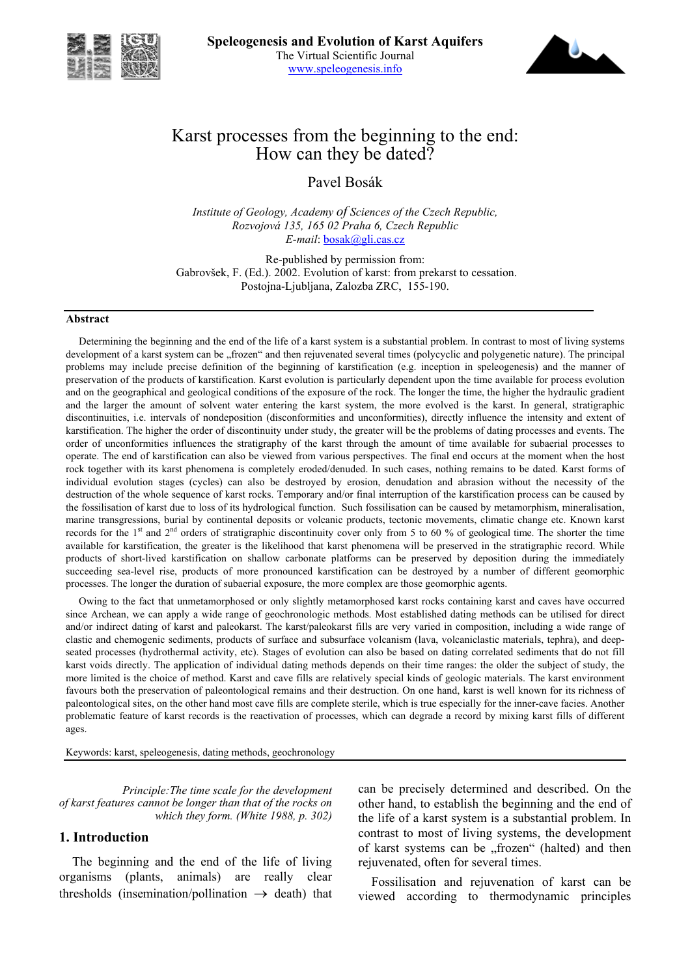



# Karst processes from the beginning to the end: How can they be dated?

Pavel Bosák

*Institute of Geology, Academy of Sciences of the Czech Republic, Rozvojová 135, 165 02 Praha 6, Czech Republic E-mail*: bosak@gli.cas.cz

Re-published by permission from: Gabrovšek, F. (Ed.). 2002. Evolution of karst: from prekarst to cessation. Postojna-Ljubljana, Zalozba ZRC, 155-190.

#### **Abstract**

Determining the beginning and the end of the life of a karst system is a substantial problem. In contrast to most of living systems development of a karst system can be "frozen" and then rejuvenated several times (polycyclic and polygenetic nature). The principal problems may include precise definition of the beginning of karstification (e.g. inception in speleogenesis) and the manner of preservation of the products of karstification. Karst evolution is particularly dependent upon the time available for process evolution and on the geographical and geological conditions of the exposure of the rock. The longer the time, the higher the hydraulic gradient and the larger the amount of solvent water entering the karst system, the more evolved is the karst. In general, stratigraphic discontinuities, i.e. intervals of nondeposition (disconformities and unconformities), directly influence the intensity and extent of karstification. The higher the order of discontinuity under study, the greater will be the problems of dating processes and events. The order of unconformities influences the stratigraphy of the karst through the amount of time available for subaerial processes to operate. The end of karstification can also be viewed from various perspectives. The final end occurs at the moment when the host rock together with its karst phenomena is completely eroded/denuded. In such cases, nothing remains to be dated. Karst forms of individual evolution stages (cycles) can also be destroyed by erosion, denudation and abrasion without the necessity of the destruction of the whole sequence of karst rocks. Temporary and/or final interruption of the karstification process can be caused by the fossilisation of karst due to loss of its hydrological function. Such fossilisation can be caused by metamorphism, mineralisation, marine transgressions, burial by continental deposits or volcanic products, tectonic movements, climatic change etc. Known karst records for the 1<sup>st</sup> and 2<sup>nd</sup> orders of stratigraphic discontinuity cover only from 5 to 60 % of geological time. The shorter the time available for karstification, the greater is the likelihood that karst phenomena will be preserved in the stratigraphic record. While products of short-lived karstification on shallow carbonate platforms can be preserved by deposition during the immediately succeeding sea-level rise, products of more pronounced karstification can be destroyed by a number of different geomorphic processes. The longer the duration of subaerial exposure, the more complex are those geomorphic agents.

Owing to the fact that unmetamorphosed or only slightly metamorphosed karst rocks containing karst and caves have occurred since Archean, we can apply a wide range of geochronologic methods. Most established dating methods can be utilised for direct and/or indirect dating of karst and paleokarst. The karst/paleokarst fills are very varied in composition, including a wide range of clastic and chemogenic sediments, products of surface and subsurface volcanism (lava, volcaniclastic materials, tephra), and deepseated processes (hydrothermal activity, etc). Stages of evolution can also be based on dating correlated sediments that do not fill karst voids directly. The application of individual dating methods depends on their time ranges: the older the subject of study, the more limited is the choice of method. Karst and cave fills are relatively special kinds of geologic materials. The karst environment favours both the preservation of paleontological remains and their destruction. On one hand, karst is well known for its richness of paleontological sites, on the other hand most cave fills are complete sterile, which is true especially for the inner-cave facies. Another problematic feature of karst records is the reactivation of processes, which can degrade a record by mixing karst fills of different ages.

Keywords: karst, speleogenesis, dating methods, geochronology

*Principle:The time scale for the development of karst features cannot be longer than that of the rocks on which they form. (White 1988, p. 302)*

### **1. Introduction**

The beginning and the end of the life of living organisms (plants, animals) are really clear thresholds (insemination/pollination  $\rightarrow$  death) that can be precisely determined and described. On the other hand, to establish the beginning and the end of the life of a karst system is a substantial problem. In contrast to most of living systems, the development of karst systems can be "frozen" (halted) and then rejuvenated, often for several times.

Fossilisation and rejuvenation of karst can be viewed according to thermodynamic principles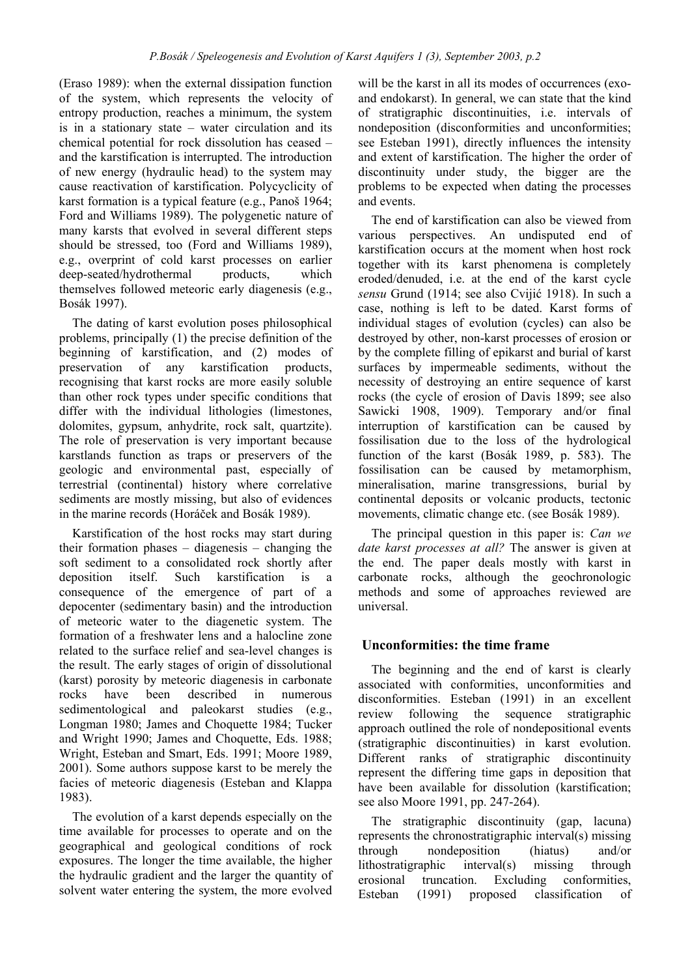(Eraso 1989): when the external dissipation function of the system, which represents the velocity of entropy production, reaches a minimum, the system is in a stationary state – water circulation and its chemical potential for rock dissolution has ceased – and the karstification is interrupted. The introduction of new energy (hydraulic head) to the system may cause reactivation of karstification. Polycyclicity of karst formation is a typical feature (e.g., Panoš 1964; Ford and Williams 1989). The polygenetic nature of many karsts that evolved in several different steps should be stressed, too (Ford and Williams 1989), e.g., overprint of cold karst processes on earlier deep-seated/hydrothermal products, which themselves followed meteoric early diagenesis (e.g., Bosák 1997).

The dating of karst evolution poses philosophical problems, principally (1) the precise definition of the beginning of karstification, and (2) modes of preservation of any karstification products, recognising that karst rocks are more easily soluble than other rock types under specific conditions that differ with the individual lithologies (limestones, dolomites, gypsum, anhydrite, rock salt, quartzite). The role of preservation is very important because karstlands function as traps or preservers of the geologic and environmental past, especially of terrestrial (continental) history where correlative sediments are mostly missing, but also of evidences in the marine records (Horáček and Bosák 1989).

Karstification of the host rocks may start during their formation phases – diagenesis – changing the soft sediment to a consolidated rock shortly after deposition itself. Such karstification is a consequence of the emergence of part of a depocenter (sedimentary basin) and the introduction of meteoric water to the diagenetic system. The formation of a freshwater lens and a halocline zone related to the surface relief and sea-level changes is the result. The early stages of origin of dissolutional (karst) porosity by meteoric diagenesis in carbonate rocks have been described in numerous sedimentological and paleokarst studies (e.g., Longman 1980; James and Choquette 1984; Tucker and Wright 1990; James and Choquette, Eds. 1988; Wright, Esteban and Smart, Eds. 1991; Moore 1989, 2001). Some authors suppose karst to be merely the facies of meteoric diagenesis (Esteban and Klappa 1983).

The evolution of a karst depends especially on the time available for processes to operate and on the geographical and geological conditions of rock exposures. The longer the time available, the higher the hydraulic gradient and the larger the quantity of solvent water entering the system, the more evolved

will be the karst in all its modes of occurrences (exoand endokarst). In general, we can state that the kind of stratigraphic discontinuities, i.e. intervals of nondeposition (disconformities and unconformities; see Esteban 1991), directly influences the intensity and extent of karstification. The higher the order of discontinuity under study, the bigger are the problems to be expected when dating the processes and events.

The end of karstification can also be viewed from various perspectives. An undisputed end of karstification occurs at the moment when host rock together with its karst phenomena is completely eroded/denuded, i.e. at the end of the karst cycle *sensu* Grund (1914; see also Cvijić 1918). In such a case, nothing is left to be dated. Karst forms of individual stages of evolution (cycles) can also be destroyed by other, non-karst processes of erosion or by the complete filling of epikarst and burial of karst surfaces by impermeable sediments, without the necessity of destroying an entire sequence of karst rocks (the cycle of erosion of Davis 1899; see also Sawicki 1908, 1909). Temporary and/or final interruption of karstification can be caused by fossilisation due to the loss of the hydrological function of the karst (Bosák 1989, p. 583). The fossilisation can be caused by metamorphism, mineralisation, marine transgressions, burial by continental deposits or volcanic products, tectonic movements, climatic change etc. (see Bosák 1989).

The principal question in this paper is: *Can we date karst processes at all?* The answer is given at the end. The paper deals mostly with karst in carbonate rocks, although the geochronologic methods and some of approaches reviewed are universal.

# **Unconformities: the time frame**

The beginning and the end of karst is clearly associated with conformities, unconformities and disconformities. Esteban (1991) in an excellent review following the sequence stratigraphic approach outlined the role of nondepositional events (stratigraphic discontinuities) in karst evolution. Different ranks of stratigraphic discontinuity represent the differing time gaps in deposition that have been available for dissolution (karstification; see also Moore 1991, pp. 247-264).

The stratigraphic discontinuity (gap, lacuna) represents the chronostratigraphic interval(s) missing through nondeposition (hiatus) and/or lithostratigraphic interval(s) missing through erosional truncation. Excluding conformities, Esteban (1991) proposed classification of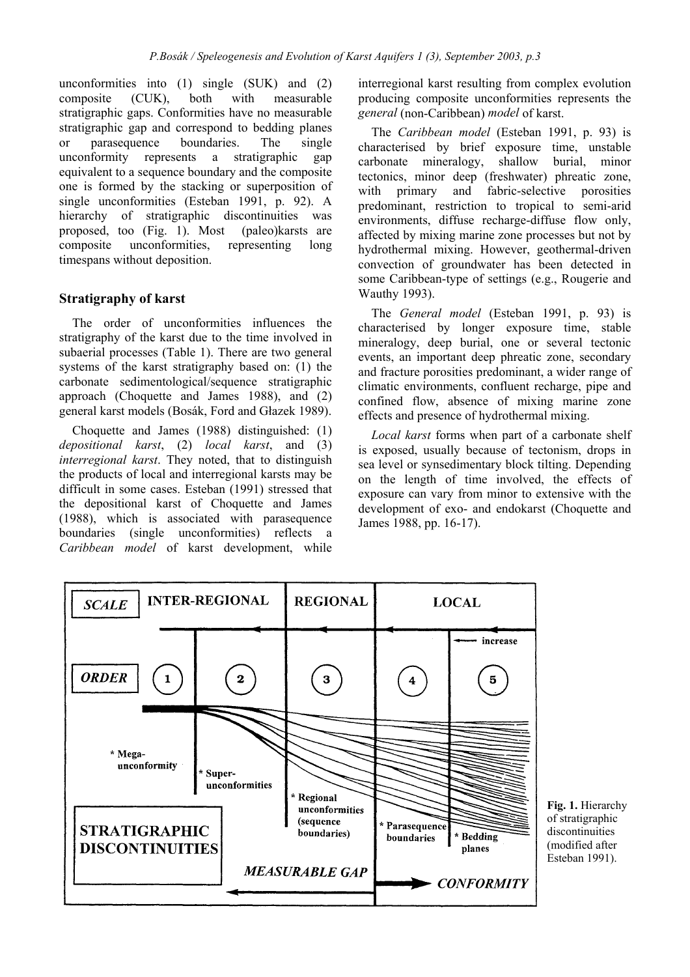unconformities into (1) single (SUK) and (2) composite (CUK), both with measurable stratigraphic gaps. Conformities have no measurable stratigraphic gap and correspond to bedding planes or parasequence boundaries. The single unconformity represents a stratigraphic gap equivalent to a sequence boundary and the composite one is formed by the stacking or superposition of single unconformities (Esteban 1991, p. 92). A hierarchy of stratigraphic discontinuities was proposed, too (Fig. 1). Most (paleo)karsts are composite unconformities, representing long timespans without deposition.

# **Stratigraphy of karst**

The order of unconformities influences the stratigraphy of the karst due to the time involved in subaerial processes (Table 1). There are two general systems of the karst stratigraphy based on: (1) the carbonate sedimentological/sequence stratigraphic approach (Choquette and James 1988), and (2) general karst models (Bosák, Ford and Głazek 1989).

Choquette and James (1988) distinguished: (1) *depositional karst*, (2) *local karst*, and (3) *interregional karst*. They noted, that to distinguish the products of local and interregional karsts may be difficult in some cases. Esteban (1991) stressed that the depositional karst of Choquette and James (1988), which is associated with parasequence boundaries (single unconformities) reflects a *Caribbean model* of karst development, while

interregional karst resulting from complex evolution producing composite unconformities represents the *general* (non-Caribbean) *model* of karst.

The *Caribbean model* (Esteban 1991, p. 93) is characterised by brief exposure time, unstable carbonate mineralogy, shallow burial, minor tectonics, minor deep (freshwater) phreatic zone, with primary and fabric-selective porosities predominant, restriction to tropical to semi-arid environments, diffuse recharge-diffuse flow only, affected by mixing marine zone processes but not by hydrothermal mixing. However, geothermal-driven convection of groundwater has been detected in some Caribbean-type of settings (e.g., Rougerie and Wauthy 1993).

The *General model* (Esteban 1991, p. 93) is characterised by longer exposure time, stable mineralogy, deep burial, one or several tectonic events, an important deep phreatic zone, secondary and fracture porosities predominant, a wider range of climatic environments, confluent recharge, pipe and confined flow, absence of mixing marine zone effects and presence of hydrothermal mixing.

*Local karst* forms when part of a carbonate shelf is exposed, usually because of tectonism, drops in sea level or synsedimentary block tilting. Depending on the length of time involved, the effects of exposure can vary from minor to extensive with the development of exo- and endokarst (Choquette and James 1988, pp. 16-17).



**Fig. 1.** Hierarchy of stratigraphic discontinuities (modified after Esteban 1991).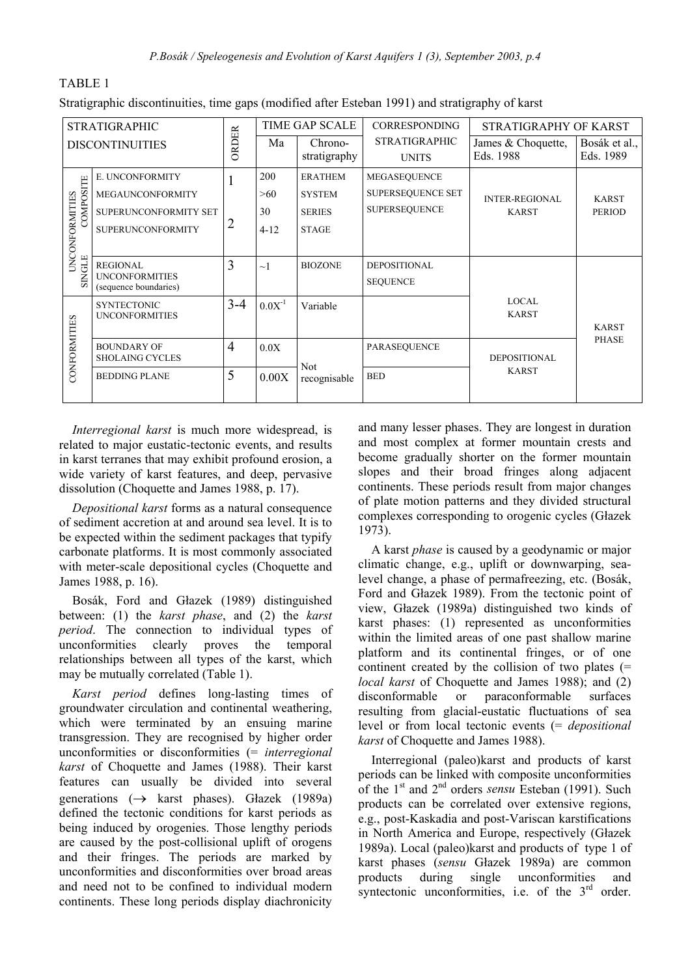|--|--|

Stratigraphic discontinuities, time gaps (modified after Esteban 1991) and stratigraphy of karst

| <b>TIME GAP SCALE</b><br><b>STRATIGRAPHIC</b> |                                                | <b>CORRESPONDING</b> | STRATIGRAPHY OF KARST |                            |                      |                                       |                               |
|-----------------------------------------------|------------------------------------------------|----------------------|-----------------------|----------------------------|----------------------|---------------------------------------|-------------------------------|
| <b>DISCONTINUITIES</b>                        |                                                | ORDER                | Ma                    | Chrono-<br>stratigraphy    | <b>STRATIGRAPHIC</b> | James & Choquette,<br>Eds. 1988       | Bosák et al.,<br>Eds. 1989    |
|                                               |                                                |                      |                       |                            | <b>UNITS</b>         |                                       |                               |
|                                               | E. UNCONFORMITY                                |                      | 200                   | <b>ERATHEM</b>             | MEGASEQUENCE         |                                       |                               |
|                                               | MEGAUNCONFORMITY                               |                      | >60                   | <b>SYSTEM</b>              | SUPERSEQUENCE SET    | <b>INTER-REGIONAL</b><br><b>KARST</b> | <b>KARST</b><br><b>PERIOD</b> |
| COMPOSITE                                     | SUPERUNCONFORMITY SET                          |                      | 30                    | <b>SERIES</b>              | <b>SUPERSEQUENCE</b> |                                       |                               |
|                                               | <b>SUPERUNCONFORMITY</b>                       | 2                    | $4 - 12$              | <b>STAGE</b>               |                      |                                       |                               |
| UNCONFORMITIES                                |                                                |                      |                       |                            |                      |                                       |                               |
| SINGLE                                        | <b>REGIONAL</b>                                | 3                    | $\sim$ 1              | <b>BIOZONE</b>             | <b>DEPOSITIONAL</b>  |                                       |                               |
|                                               | <b>UNCONFORMITIES</b><br>(sequence boundaries) |                      |                       |                            | <b>SEQUENCE</b>      |                                       |                               |
|                                               | <b>SYNTECTONIC</b>                             | $3 - 4$              | $0.0X^{-1}$           | Variable                   |                      | <b>LOCAL</b>                          |                               |
|                                               | <b>UNCONFORMITIES</b>                          |                      |                       |                            |                      | <b>KARST</b>                          | <b>KARST</b>                  |
| CONFORMITIES                                  |                                                |                      |                       |                            |                      |                                       | <b>PHASE</b>                  |
|                                               | <b>BOUNDARY OF</b><br><b>SHOLAING CYCLES</b>   | $\overline{4}$       | 0.0X                  |                            | <b>PARASEQUENCE</b>  | <b>DEPOSITIONAL</b>                   |                               |
|                                               | <b>BEDDING PLANE</b>                           | 5                    | 0.00X                 | <b>Not</b><br>recognisable | <b>BED</b>           | <b>KARST</b>                          |                               |
|                                               |                                                |                      |                       |                            |                      |                                       |                               |

*Interregional karst* is much more widespread, is related to major eustatic-tectonic events, and results in karst terranes that may exhibit profound erosion, a wide variety of karst features, and deep, pervasive dissolution (Choquette and James 1988, p. 17).

*Depositional karst* forms as a natural consequence of sediment accretion at and around sea level. It is to be expected within the sediment packages that typify carbonate platforms. It is most commonly associated with meter-scale depositional cycles (Choquette and James 1988, p. 16).

Bosák, Ford and Głazek (1989) distinguished between: (1) the *karst phase*, and (2) the *karst period*. The connection to individual types of unconformities clearly proves the temporal relationships between all types of the karst, which may be mutually correlated (Table 1).

*Karst period* defines long-lasting times of groundwater circulation and continental weathering, which were terminated by an ensuing marine transgression. They are recognised by higher order unconformities or disconformities (= *interregional karst* of Choquette and James (1988). Their karst features can usually be divided into several generations (→ karst phases). Głazek (1989a) defined the tectonic conditions for karst periods as being induced by orogenies. Those lengthy periods are caused by the post-collisional uplift of orogens and their fringes. The periods are marked by unconformities and disconformities over broad areas and need not to be confined to individual modern continents. These long periods display diachronicity

and many lesser phases. They are longest in duration and most complex at former mountain crests and become gradually shorter on the former mountain slopes and their broad fringes along adjacent continents. These periods result from major changes of plate motion patterns and they divided structural complexes corresponding to orogenic cycles (Głazek 1973).

A karst *phase* is caused by a geodynamic or major climatic change, e.g., uplift or downwarping, sealevel change, a phase of permafreezing, etc. (Bosák, Ford and Głazek 1989). From the tectonic point of view, Głazek (1989a) distinguished two kinds of karst phases: (1) represented as unconformities within the limited areas of one past shallow marine platform and its continental fringes, or of one continent created by the collision of two plates (= *local karst* of Choquette and James 1988); and (2) disconformable or paraconformable surfaces resulting from glacial-eustatic fluctuations of sea level or from local tectonic events (= *depositional karst* of Choquette and James 1988).

Interregional (paleo)karst and products of karst periods can be linked with composite unconformities of the 1st and 2nd orders *sensu* Esteban (1991). Such products can be correlated over extensive regions, e.g., post-Kaskadia and post-Variscan karstifications in North America and Europe, respectively (Głazek 1989a). Local (paleo)karst and products of type 1 of karst phases (*sensu* Głazek 1989a) are common products during single unconformities and syntectonic unconformities, i.e. of the  $3<sup>rd</sup>$  order.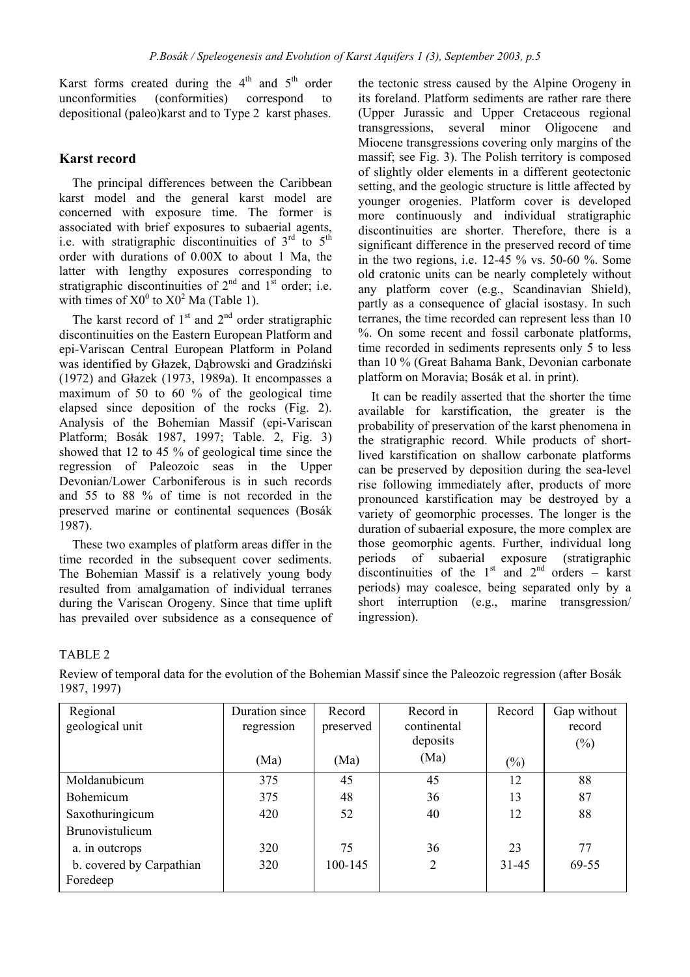Karst forms created during the  $4<sup>th</sup>$  and  $5<sup>th</sup>$  order unconformities (conformities) correspond to depositional (paleo)karst and to Type 2 karst phases.

### **Karst record**

The principal differences between the Caribbean karst model and the general karst model are concerned with exposure time. The former is associated with brief exposures to subaerial agents, i.e. with stratigraphic discontinuities of  $3<sup>rd</sup>$  to  $5<sup>th</sup>$ order with durations of 0.00X to about 1 Ma, the latter with lengthy exposures corresponding to stratigraphic discontinuities of  $2<sup>nd</sup>$  and  $1<sup>st</sup>$  order; i.e. with times of  $X0^0$  to  $X0^2$  Ma (Table 1).

The karst record of  $1<sup>st</sup>$  and  $2<sup>nd</sup>$  order stratigraphic discontinuities on the Eastern European Platform and epi-Variscan Central European Platform in Poland was identified by Głazek, Dąbrowski and Gradziński (1972) and Głazek (1973, 1989a). It encompasses a maximum of 50 to 60 % of the geological time elapsed since deposition of the rocks (Fig. 2). Analysis of the Bohemian Massif (epi-Variscan Platform; Bosák 1987, 1997; Table. 2, Fig. 3) showed that 12 to 45 % of geological time since the regression of Paleozoic seas in the Upper Devonian/Lower Carboniferous is in such records and 55 to 88 % of time is not recorded in the preserved marine or continental sequences (Bosák 1987).

These two examples of platform areas differ in the time recorded in the subsequent cover sediments. The Bohemian Massif is a relatively young body resulted from amalgamation of individual terranes during the Variscan Orogeny. Since that time uplift has prevailed over subsidence as a consequence of the tectonic stress caused by the Alpine Orogeny in its foreland. Platform sediments are rather rare there (Upper Jurassic and Upper Cretaceous regional transgressions, several minor Oligocene and Miocene transgressions covering only margins of the massif; see Fig. 3). The Polish territory is composed of slightly older elements in a different geotectonic setting, and the geologic structure is little affected by younger orogenies. Platform cover is developed more continuously and individual stratigraphic discontinuities are shorter. Therefore, there is a significant difference in the preserved record of time in the two regions, i.e.  $12-45\%$  vs.  $50-60\%$ . Some old cratonic units can be nearly completely without any platform cover (e.g., Scandinavian Shield), partly as a consequence of glacial isostasy. In such terranes, the time recorded can represent less than 10 %. On some recent and fossil carbonate platforms, time recorded in sediments represents only 5 to less than 10 % (Great Bahama Bank, Devonian carbonate platform on Moravia; Bosák et al. in print).

It can be readily asserted that the shorter the time available for karstification, the greater is the probability of preservation of the karst phenomena in the stratigraphic record. While products of shortlived karstification on shallow carbonate platforms can be preserved by deposition during the sea-level rise following immediately after, products of more pronounced karstification may be destroyed by a variety of geomorphic processes. The longer is the duration of subaerial exposure, the more complex are those geomorphic agents. Further, individual long periods of subaerial exposure (stratigraphic discontinuities of the  $1<sup>st</sup>$  and  $2<sup>nd</sup>$  orders – karst periods) may coalesce, being separated only by a short interruption (e.g., marine transgression/ ingression).

### TABLE 2

Review of temporal data for the evolution of the Bohemian Massif since the Paleozoic regression (after Bosák 1987, 1997)

| Regional                 | Duration since | Record    | Record in   | Record    | Gap without |
|--------------------------|----------------|-----------|-------------|-----------|-------------|
| geological unit          | regression     | preserved | continental |           | record      |
|                          |                |           | deposits    |           | $(\%)$      |
|                          | (Ma)           | (Ma)      | (Ma)        | $(\%)$    |             |
| Moldanubicum             | 375            | 45        | 45          | 12        | 88          |
| <b>Bohemicum</b>         | 375            | 48        | 36          | 13        | 87          |
| Saxothuringicum          | 420            | 52        | 40          | 12        | 88          |
| Brunovistulicum          |                |           |             |           |             |
| a. in outcrops           | 320            | 75        | 36          | 23        | 77          |
| b. covered by Carpathian | 320            | 100-145   | 2           | $31 - 45$ | 69-55       |
| Foredeep                 |                |           |             |           |             |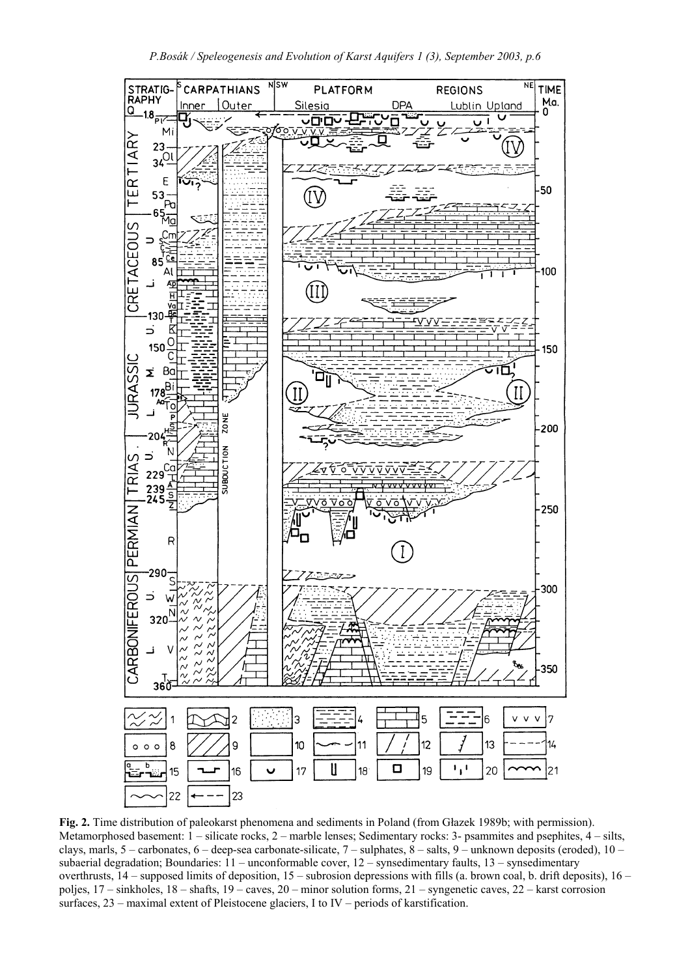

**Fig. 2.** Time distribution of paleokarst phenomena and sediments in Poland (from Głazek 1989b; with permission). Metamorphosed basement: 1 – silicate rocks, 2 – marble lenses; Sedimentary rocks: 3- psammites and psephites, 4 – silts, clays, marls,  $5$  – carbonates,  $6$  – deep-sea carbonate-silicate,  $7$  – sulphates,  $8$  – salts,  $9$  – unknown deposits (eroded),  $10$  – subaerial degradation; Boundaries: 11 – unconformable cover, 12 – synsedimentary faults, 13 – synsedimentary overthrusts, 14 – supposed limits of deposition, 15 – subrosion depressions with fills (a. brown coal, b. drift deposits), 16 – poljes, 17 – sinkholes, 18 – shafts, 19 – caves, 20 – minor solution forms, 21 – syngenetic caves, 22 – karst corrosion surfaces, 23 – maximal extent of Pleistocene glaciers, I to IV – periods of karstification.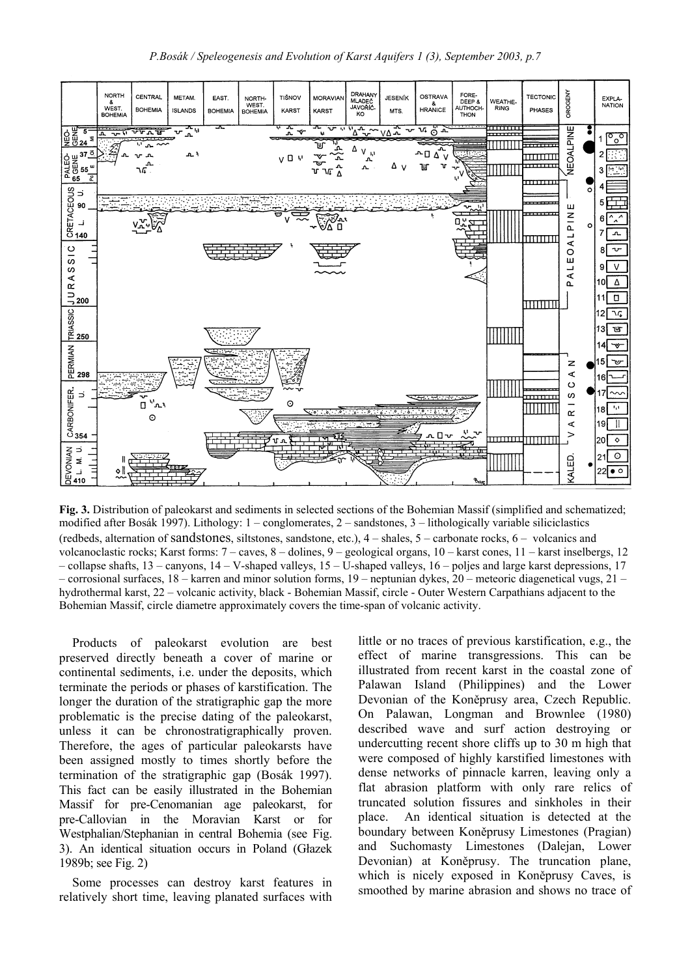

**Fig. 3.** Distribution of paleokarst and sediments in selected sections of the Bohemian Massif (simplified and schematized; modified after Bosák 1997). Lithology: 1 – conglomerates, 2 – sandstones, 3 – lithologically variable siliciclastics (redbeds, alternation of sandstones, siltstones, sandstone, etc.), 4 – shales, 5 – carbonate rocks, 6 – volcanics and volcanoclastic rocks; Karst forms: 7 – caves, 8 – dolines, 9 – geological organs, 10 – karst cones, 11 – karst inselbergs, 12 – collapse shafts, 13 – canyons, 14 – V-shaped valleys, 15 – U-shaped valleys, 16 – poljes and large karst depressions, 17 – corrosional surfaces, 18 – karren and minor solution forms, 19 – neptunian dykes, 20 – meteoric diagenetical vugs, 21 – hydrothermal karst, 22 – volcanic activity, black - Bohemian Massif, circle - Outer Western Carpathians adjacent to the Bohemian Massif, circle diametre approximately covers the time-span of volcanic activity.

Products of paleokarst evolution are best preserved directly beneath a cover of marine or continental sediments, i.e. under the deposits, which terminate the periods or phases of karstification. The longer the duration of the stratigraphic gap the more problematic is the precise dating of the paleokarst, unless it can be chronostratigraphically proven. Therefore, the ages of particular paleokarsts have been assigned mostly to times shortly before the termination of the stratigraphic gap (Bosák 1997). This fact can be easily illustrated in the Bohemian Massif for pre-Cenomanian age paleokarst, for pre-Callovian in the Moravian Karst or for Westphalian/Stephanian in central Bohemia (see Fig. 3). An identical situation occurs in Poland (Głazek 1989b; see Fig. 2)

Some processes can destroy karst features in relatively short time, leaving planated surfaces with little or no traces of previous karstification, e.g., the effect of marine transgressions. This can be illustrated from recent karst in the coastal zone of Palawan Island (Philippines) and the Lower Devonian of the Koněprusy area, Czech Republic. On Palawan, Longman and Brownlee (1980) described wave and surf action destroying or undercutting recent shore cliffs up to 30 m high that were composed of highly karstified limestones with dense networks of pinnacle karren, leaving only a flat abrasion platform with only rare relics of truncated solution fissures and sinkholes in their place. An identical situation is detected at the boundary between Koněprusy Limestones (Pragian) and Suchomasty Limestones (Dalejan, Lower Devonian) at Koněprusy. The truncation plane, which is nicely exposed in Koněprusy Caves, is smoothed by marine abrasion and shows no trace of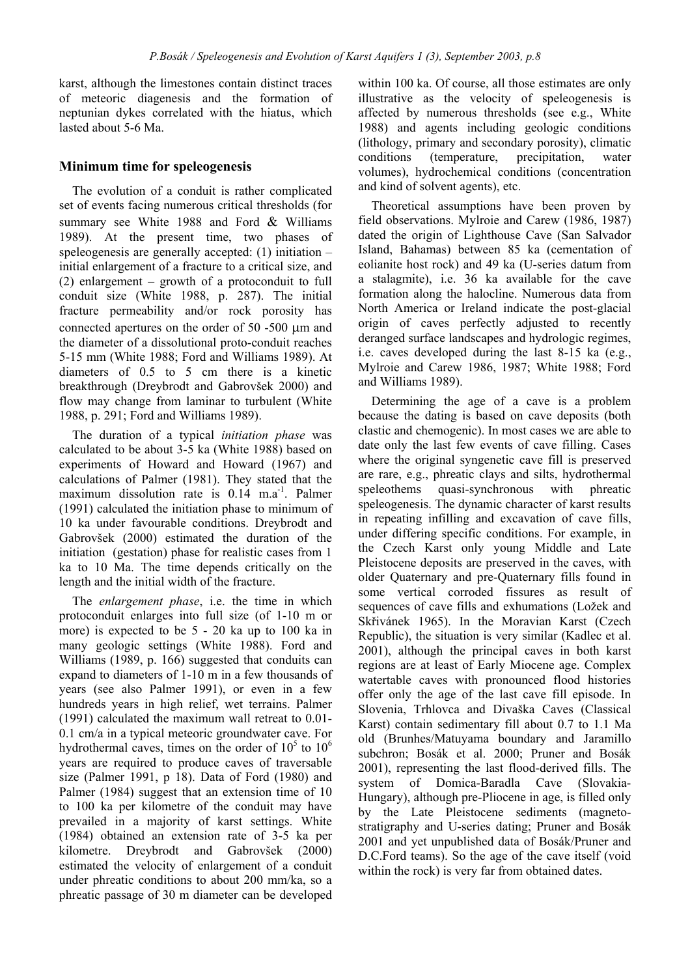karst, although the limestones contain distinct traces of meteoric diagenesis and the formation of neptunian dykes correlated with the hiatus, which lasted about 5-6 Ma.

# **Minimum time for speleogenesis**

The evolution of a conduit is rather complicated set of events facing numerous critical thresholds (for summary see White 1988 and Ford & Williams 1989). At the present time, two phases of speleogenesis are generally accepted: (1) initiation – initial enlargement of a fracture to a critical size, and (2) enlargement – growth of a protoconduit to full conduit size (White 1988, p. 287). The initial fracture permeability and/or rock porosity has connected apertures on the order of 50 -500 µm and the diameter of a dissolutional proto-conduit reaches 5-15 mm (White 1988; Ford and Williams 1989). At diameters of 0.5 to 5 cm there is a kinetic breakthrough (Dreybrodt and Gabrovšek 2000) and flow may change from laminar to turbulent (White 1988, p. 291; Ford and Williams 1989).

The duration of a typical *initiation phase* was calculated to be about 3-5 ka (White 1988) based on experiments of Howard and Howard (1967) and calculations of Palmer (1981). They stated that the maximum dissolution rate is  $0.14$  m.a<sup>-1</sup>. Palmer (1991) calculated the initiation phase to minimum of 10 ka under favourable conditions. Dreybrodt and Gabrovšek (2000) estimated the duration of the initiation (gestation) phase for realistic cases from 1 ka to 10 Ma. The time depends critically on the length and the initial width of the fracture.

The *enlargement phase*, i.e. the time in which protoconduit enlarges into full size (of 1-10 m or more) is expected to be 5 - 20 ka up to 100 ka in many geologic settings (White 1988). Ford and Williams (1989, p. 166) suggested that conduits can expand to diameters of 1-10 m in a few thousands of years (see also Palmer 1991), or even in a few hundreds years in high relief, wet terrains. Palmer (1991) calculated the maximum wall retreat to 0.01- 0.1 cm/a in a typical meteoric groundwater cave. For hydrothermal caves, times on the order of  $10^5$  to  $10^6$ years are required to produce caves of traversable size (Palmer 1991, p 18). Data of Ford (1980) and Palmer (1984) suggest that an extension time of 10 to 100 ka per kilometre of the conduit may have prevailed in a majority of karst settings. White (1984) obtained an extension rate of 3-5 ka per kilometre. Dreybrodt and Gabrovšek (2000) estimated the velocity of enlargement of a conduit under phreatic conditions to about 200 mm/ka, so a phreatic passage of 30 m diameter can be developed within 100 ka. Of course, all those estimates are only illustrative as the velocity of speleogenesis is affected by numerous thresholds (see e.g., White 1988) and agents including geologic conditions (lithology, primary and secondary porosity), climatic conditions (temperature, precipitation, water volumes), hydrochemical conditions (concentration and kind of solvent agents), etc.

Theoretical assumptions have been proven by field observations. Mylroie and Carew (1986, 1987) dated the origin of Lighthouse Cave (San Salvador Island, Bahamas) between 85 ka (cementation of eolianite host rock) and 49 ka (U-series datum from a stalagmite), i.e. 36 ka available for the cave formation along the halocline. Numerous data from North America or Ireland indicate the post-glacial origin of caves perfectly adjusted to recently deranged surface landscapes and hydrologic regimes, i.e. caves developed during the last 8-15 ka (e.g., Mylroie and Carew 1986, 1987; White 1988; Ford and Williams 1989).

Determining the age of a cave is a problem because the dating is based on cave deposits (both clastic and chemogenic). In most cases we are able to date only the last few events of cave filling. Cases where the original syngenetic cave fill is preserved are rare, e.g., phreatic clays and silts, hydrothermal speleothems quasi-synchronous with phreatic speleogenesis. The dynamic character of karst results in repeating infilling and excavation of cave fills, under differing specific conditions. For example, in the Czech Karst only young Middle and Late Pleistocene deposits are preserved in the caves, with older Quaternary and pre-Quaternary fills found in some vertical corroded fissures as result of sequences of cave fills and exhumations (Ložek and Skřivánek 1965). In the Moravian Karst (Czech Republic), the situation is very similar (Kadlec et al. 2001), although the principal caves in both karst regions are at least of Early Miocene age. Complex watertable caves with pronounced flood histories offer only the age of the last cave fill episode. In Slovenia, Trhlovca and Divaška Caves (Classical Karst) contain sedimentary fill about 0.7 to 1.1 Ma old (Brunhes/Matuyama boundary and Jaramillo subchron; Bosák et al. 2000; Pruner and Bosák 2001), representing the last flood-derived fills. The system of Domica-Baradla Cave (Slovakia-Hungary), although pre-Pliocene in age, is filled only by the Late Pleistocene sediments (magnetostratigraphy and U-series dating; Pruner and Bosák 2001 and yet unpublished data of Bosák/Pruner and D.C.Ford teams). So the age of the cave itself (void within the rock) is very far from obtained dates.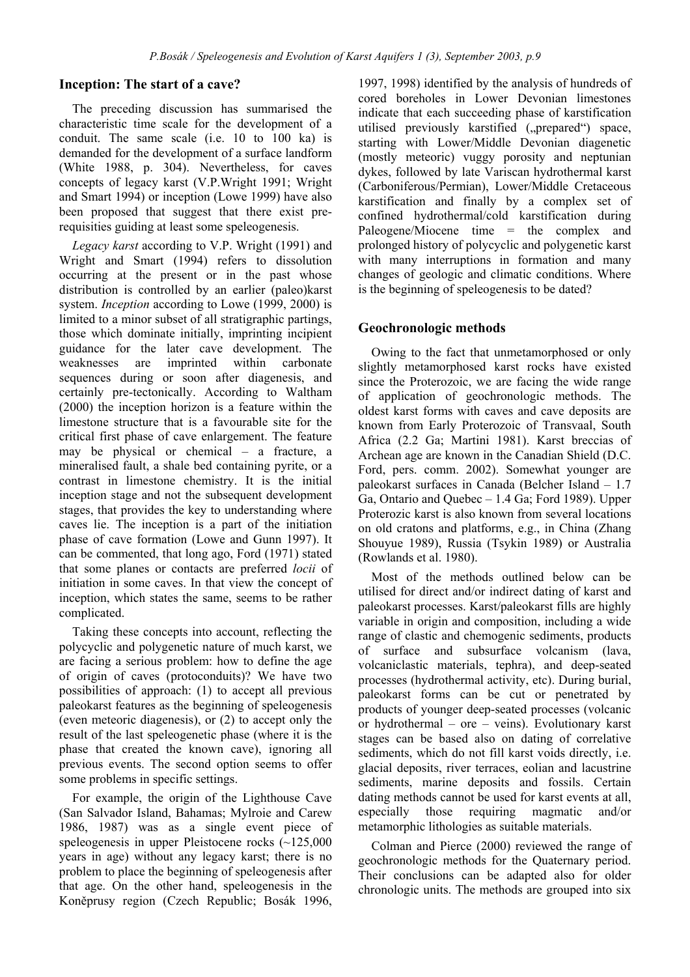# **Inception: The start of a cave?**

The preceding discussion has summarised the characteristic time scale for the development of a conduit. The same scale (i.e. 10 to 100 ka) is demanded for the development of a surface landform (White 1988, p. 304). Nevertheless, for caves concepts of legacy karst (V.P.Wright 1991; Wright and Smart 1994) or inception (Lowe 1999) have also been proposed that suggest that there exist prerequisities guiding at least some speleogenesis.

*Legacy karst* according to V.P. Wright (1991) and Wright and Smart (1994) refers to dissolution occurring at the present or in the past whose distribution is controlled by an earlier (paleo)karst system. *Inception* according to Lowe (1999, 2000) is limited to a minor subset of all stratigraphic partings, those which dominate initially, imprinting incipient guidance for the later cave development. The weaknesses are imprinted within carbonate sequences during or soon after diagenesis, and certainly pre-tectonically. According to Waltham (2000) the inception horizon is a feature within the limestone structure that is a favourable site for the critical first phase of cave enlargement. The feature may be physical or chemical – a fracture, a mineralised fault, a shale bed containing pyrite, or a contrast in limestone chemistry. It is the initial inception stage and not the subsequent development stages, that provides the key to understanding where caves lie. The inception is a part of the initiation phase of cave formation (Lowe and Gunn 1997). It can be commented, that long ago, Ford (1971) stated that some planes or contacts are preferred *locii* of initiation in some caves. In that view the concept of inception, which states the same, seems to be rather complicated.

Taking these concepts into account, reflecting the polycyclic and polygenetic nature of much karst, we are facing a serious problem: how to define the age of origin of caves (protoconduits)? We have two possibilities of approach: (1) to accept all previous paleokarst features as the beginning of speleogenesis (even meteoric diagenesis), or (2) to accept only the result of the last speleogenetic phase (where it is the phase that created the known cave), ignoring all previous events. The second option seems to offer some problems in specific settings.

For example, the origin of the Lighthouse Cave (San Salvador Island, Bahamas; Mylroie and Carew 1986, 1987) was as a single event piece of speleogenesis in upper Pleistocene rocks (~125,000 years in age) without any legacy karst; there is no problem to place the beginning of speleogenesis after that age. On the other hand, speleogenesis in the Koněprusy region (Czech Republic; Bosák 1996,

1997, 1998) identified by the analysis of hundreds of cored boreholes in Lower Devonian limestones indicate that each succeeding phase of karstification utilised previously karstified ("prepared") space, starting with Lower/Middle Devonian diagenetic (mostly meteoric) vuggy porosity and neptunian dykes, followed by late Variscan hydrothermal karst (Carboniferous/Permian), Lower/Middle Cretaceous karstification and finally by a complex set of confined hydrothermal/cold karstification during Paleogene/Miocene time = the complex and prolonged history of polycyclic and polygenetic karst with many interruptions in formation and many changes of geologic and climatic conditions. Where is the beginning of speleogenesis to be dated?

# **Geochronologic methods**

Owing to the fact that unmetamorphosed or only slightly metamorphosed karst rocks have existed since the Proterozoic, we are facing the wide range of application of geochronologic methods. The oldest karst forms with caves and cave deposits are known from Early Proterozoic of Transvaal, South Africa (2.2 Ga; Martini 1981). Karst breccias of Archean age are known in the Canadian Shield (D.C. Ford, pers. comm. 2002). Somewhat younger are paleokarst surfaces in Canada (Belcher Island – 1.7 Ga, Ontario and Quebec – 1.4 Ga; Ford 1989). Upper Proterozic karst is also known from several locations on old cratons and platforms, e.g., in China (Zhang Shouyue 1989), Russia (Tsykin 1989) or Australia (Rowlands et al. 1980).

Most of the methods outlined below can be utilised for direct and/or indirect dating of karst and paleokarst processes. Karst/paleokarst fills are highly variable in origin and composition, including a wide range of clastic and chemogenic sediments, products of surface and subsurface volcanism (lava, volcaniclastic materials, tephra), and deep-seated processes (hydrothermal activity, etc). During burial, paleokarst forms can be cut or penetrated by products of younger deep-seated processes (volcanic or hydrothermal – ore – veins). Evolutionary karst stages can be based also on dating of correlative sediments, which do not fill karst voids directly, i.e. glacial deposits, river terraces, eolian and lacustrine sediments, marine deposits and fossils. Certain dating methods cannot be used for karst events at all, especially those requiring magmatic and/or metamorphic lithologies as suitable materials.

Colman and Pierce (2000) reviewed the range of geochronologic methods for the Quaternary period. Their conclusions can be adapted also for older chronologic units. The methods are grouped into six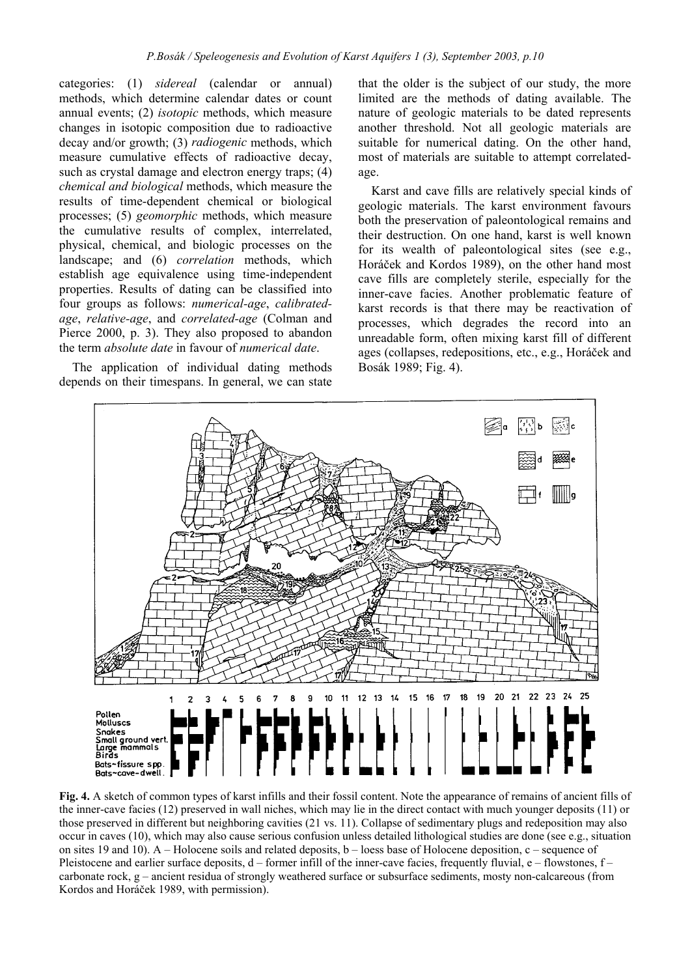categories: (1) *sidereal* (calendar or annual) methods, which determine calendar dates or count annual events; (2) *isotopic* methods, which measure changes in isotopic composition due to radioactive decay and/or growth; (3) *radiogenic* methods, which measure cumulative effects of radioactive decay, such as crystal damage and electron energy traps; (4) *chemical and biological* methods, which measure the results of time-dependent chemical or biological processes; (5) *geomorphic* methods, which measure the cumulative results of complex, interrelated, physical, chemical, and biologic processes on the landscape; and (6) *correlation* methods, which establish age equivalence using time-independent properties. Results of dating can be classified into four groups as follows: *numerical-age*, *calibratedage*, *relative-age*, and *correlated-age* (Colman and Pierce 2000, p. 3). They also proposed to abandon the term *absolute date* in favour of *numerical date*.

The application of individual dating methods depends on their timespans. In general, we can state

that the older is the subject of our study, the more limited are the methods of dating available. The nature of geologic materials to be dated represents another threshold. Not all geologic materials are suitable for numerical dating. On the other hand, most of materials are suitable to attempt correlatedage.

Karst and cave fills are relatively special kinds of geologic materials. The karst environment favours both the preservation of paleontological remains and their destruction. On one hand, karst is well known for its wealth of paleontological sites (see e.g., Horáček and Kordos 1989), on the other hand most cave fills are completely sterile, especially for the inner-cave facies. Another problematic feature of karst records is that there may be reactivation of processes, which degrades the record into an unreadable form, often mixing karst fill of different ages (collapses, redepositions, etc., e.g., Horáček and Bosák 1989; Fig. 4).



**Fig. 4.** A sketch of common types of karst infills and their fossil content. Note the appearance of remains of ancient fills of the inner-cave facies (12) preserved in wall niches, which may lie in the direct contact with much younger deposits (11) or those preserved in different but neighboring cavities (21 vs. 11). Collapse of sedimentary plugs and redeposition may also occur in caves (10), which may also cause serious confusion unless detailed lithological studies are done (see e.g., situation on sites 19 and 10). A – Holocene soils and related deposits, b – loess base of Holocene deposition, c – sequence of Pleistocene and earlier surface deposits,  $d$  – former infill of the inner-cave facies, frequently fluvial, e – flowstones,  $f$  – carbonate rock, g – ancient residua of strongly weathered surface or subsurface sediments, mosty non-calcareous (from Kordos and Horáček 1989, with permission).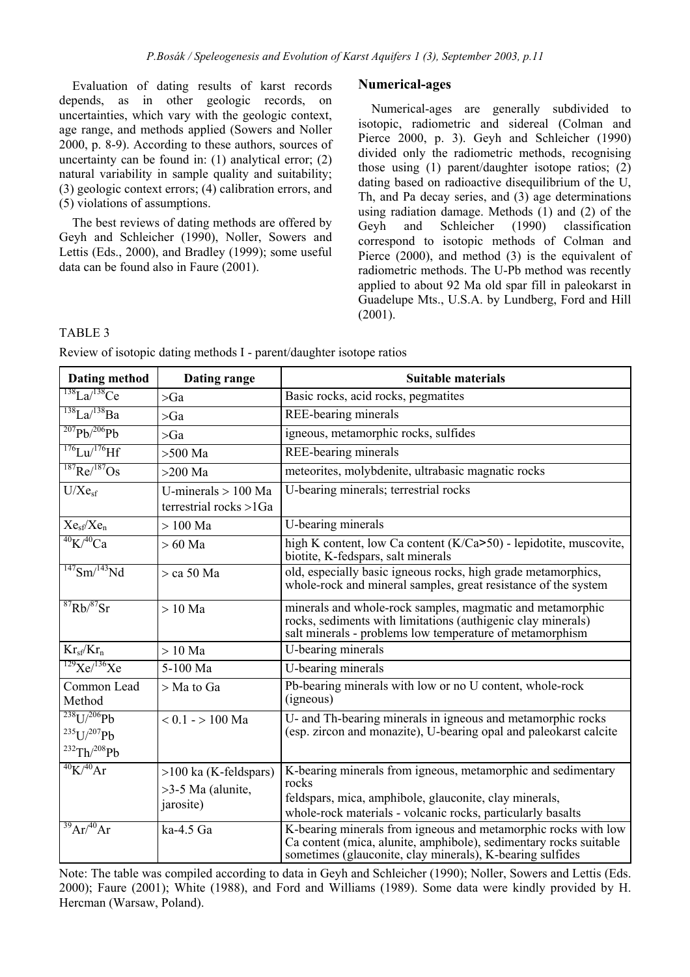Evaluation of dating results of karst records depends, as in other geologic records, on uncertainties, which vary with the geologic context, age range, and methods applied (Sowers and Noller 2000, p. 8-9). According to these authors, sources of uncertainty can be found in: (1) analytical error; (2) natural variability in sample quality and suitability; (3) geologic context errors; (4) calibration errors, and (5) violations of assumptions.

The best reviews of dating methods are offered by Geyh and Schleicher (1990), Noller, Sowers and Lettis (Eds., 2000), and Bradley (1999); some useful data can be found also in Faure (2001).

### **Numerical-ages**

Numerical-ages are generally subdivided to isotopic, radiometric and sidereal (Colman and Pierce 2000, p. 3). Geyh and Schleicher (1990) divided only the radiometric methods, recognising those using (1) parent/daughter isotope ratios; (2) dating based on radioactive disequilibrium of the U, Th, and Pa decay series, and (3) age determinations using radiation damage. Methods (1) and (2) of the Geyh and Schleicher (1990) classification correspond to isotopic methods of Colman and Pierce (2000), and method (3) is the equivalent of radiometric methods. The U-Pb method was recently applied to about 92 Ma old spar fill in paleokarst in Guadelupe Mts., U.S.A. by Lundberg, Ford and Hill (2001).

#### TABLE 3

Review of isotopic dating methods I - parent/daughter isotope ratios

| Dating method                                                        | Dating range                                                | Suitable materials                                                                                                                                                                               |  |  |
|----------------------------------------------------------------------|-------------------------------------------------------------|--------------------------------------------------------------------------------------------------------------------------------------------------------------------------------------------------|--|--|
| $138$ La/ $138$ Ce                                                   | $>\!\!Ga$                                                   | Basic rocks, acid rocks, pegmatites                                                                                                                                                              |  |  |
| $138$ La/ $138$ Ba                                                   | >Ga                                                         | REE-bearing minerals                                                                                                                                                                             |  |  |
| $^{207}Pb/^{206}Pb$                                                  | $>\!\!Ga$                                                   | igneous, metamorphic rocks, sulfides                                                                                                                                                             |  |  |
| $176$ Lu/ $176$ Hf                                                   | $>500$ Ma                                                   | <b>REE-bearing minerals</b>                                                                                                                                                                      |  |  |
| $^{187}$ Re/ $^{187}$ Os                                             | $>200$ Ma                                                   | meteorites, molybdenite, ultrabasic magnatic rocks                                                                                                                                               |  |  |
| U/Xe <sub>sf</sub>                                                   | U-minerals $> 100$ Ma<br>terrestrial rocks >1Ga             | U-bearing minerals; terrestrial rocks                                                                                                                                                            |  |  |
| $Xe_{sf}/Xe_n$                                                       | $>100$ Ma                                                   | U-bearing minerals                                                                                                                                                                               |  |  |
| $^{40}$ K $/^{40}$ Ca                                                | $>60$ Ma                                                    | high K content, low Ca content (K/Ca>50) - lepidotite, muscovite,<br>biotite, K-fedspars, salt minerals                                                                                          |  |  |
| $147$ Sm/ $143$ Nd                                                   | $>$ ca 50 Ma                                                | old, especially basic igneous rocks, high grade metamorphics,<br>whole-rock and mineral samples, great resistance of the system                                                                  |  |  |
| ${}^{87}Rb/{}^{87}Sr$                                                | $>10$ Ma                                                    | minerals and whole-rock samples, magmatic and metamorphic<br>rocks, sediments with limitations (authigenic clay minerals)<br>salt minerals - problems low temperature of metamorphism            |  |  |
| $Kr_{sf}/Kr_n$                                                       | $>10$ Ma                                                    | U-bearing minerals                                                                                                                                                                               |  |  |
| $129$ Xe/ $136$ Xe                                                   | 5-100 Ma                                                    | U-bearing minerals                                                                                                                                                                               |  |  |
| Common Lead<br>Method                                                | > Ma to Ga                                                  | Pb-bearing minerals with low or no U content, whole-rock<br>(igneous)                                                                                                                            |  |  |
| $^{238}$ U/ $^{206}$ Pb<br>$^{235}U/^{207}Pb$<br>$^{232}Th/^{208}Pb$ | $< 0.1 - 100$ Ma                                            | U- and Th-bearing minerals in igneous and metamorphic rocks<br>(esp. zircon and monazite), U-bearing opal and paleokarst calcite                                                                 |  |  |
| $^{40}$ K/ $^{40}$ Ar                                                | $>100$ ka (K-feldspars)<br>$>3-5$ Ma (alunite,<br>jarosite) | K-bearing minerals from igneous, metamorphic and sedimentary<br>rocks<br>feldspars, mica, amphibole, glauconite, clay minerals,<br>whole-rock materials - volcanic rocks, particularly basalts   |  |  |
| $^{39}Ar/^{40}Ar$                                                    | ka-4.5 Ga                                                   | K-bearing minerals from igneous and metamorphic rocks with low<br>Ca content (mica, alunite, amphibole), sedimentary rocks suitable<br>sometimes (glauconite, clay minerals), K-bearing sulfides |  |  |

Note: The table was compiled according to data in Geyh and Schleicher (1990); Noller, Sowers and Lettis (Eds. 2000); Faure (2001); White (1988), and Ford and Williams (1989). Some data were kindly provided by H. Hercman (Warsaw, Poland).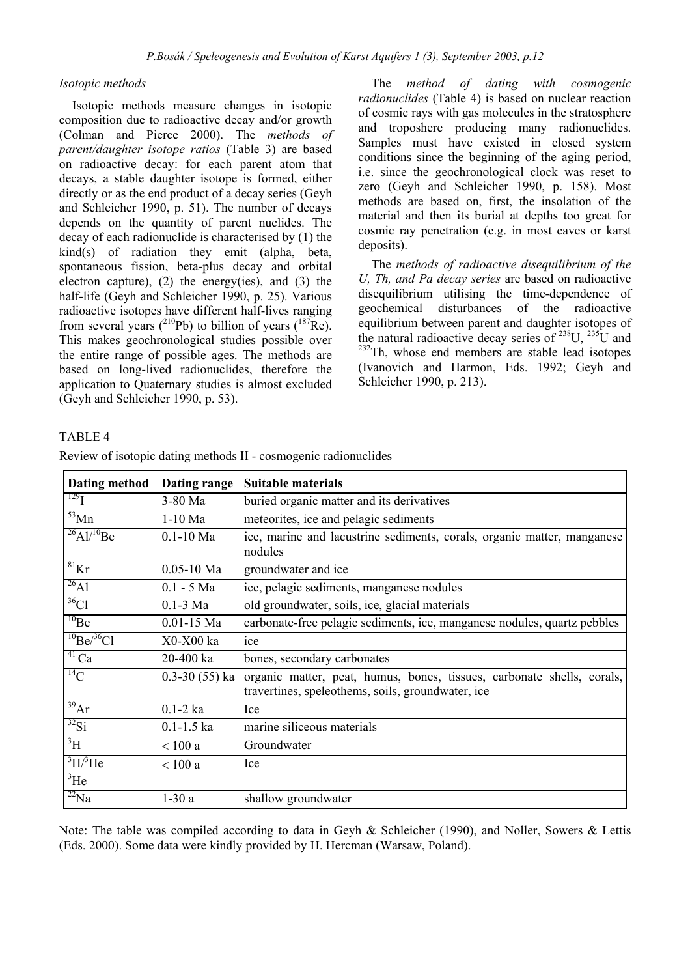#### *Isotopic methods*

Isotopic methods measure changes in isotopic composition due to radioactive decay and/or growth (Colman and Pierce 2000). The *methods of parent/daughter isotope ratios* (Table 3) are based on radioactive decay: for each parent atom that decays, a stable daughter isotope is formed, either directly or as the end product of a decay series (Geyh and Schleicher 1990, p. 51). The number of decays depends on the quantity of parent nuclides. The decay of each radionuclide is characterised by (1) the kind(s) of radiation they emit (alpha, beta, spontaneous fission, beta-plus decay and orbital electron capture),  $(2)$  the energy(ies), and  $(3)$  the half-life (Geyh and Schleicher 1990, p. 25). Various radioactive isotopes have different half-lives ranging from several years ( $^{210}Pb$ ) to billion of years ( $^{187}Re$ ). This makes geochronological studies possible over the entire range of possible ages. The methods are based on long-lived radionuclides, therefore the application to Quaternary studies is almost excluded (Geyh and Schleicher 1990, p. 53).

The *method of dating with cosmogenic radionuclides* (Table 4) is based on nuclear reaction of cosmic rays with gas molecules in the stratosphere and troposhere producing many radionuclides. Samples must have existed in closed system conditions since the beginning of the aging period, i.e. since the geochronological clock was reset to zero (Geyh and Schleicher 1990, p. 158). Most methods are based on, first, the insolation of the material and then its burial at depths too great for cosmic ray penetration (e.g. in most caves or karst deposits).

The *methods of radioactive disequilibrium of the U, Th, and Pa decay series* are based on radioactive disequilibrium utilising the time-dependence of geochemical disturbances of the radioactive equilibrium between parent and daughter isotopes of the natural radioactive decay series of  $^{238}$ U,  $^{235}$ U and <sup>232</sup>Th, whose end members are stable lead isotopes (Ivanovich and Harmon, Eds. 1992; Geyh and Schleicher 1990, p. 213).

### TABLE 4

| Dating method                | Dating range      | <b>Suitable materials</b>                                                                                                   |  |  |
|------------------------------|-------------------|-----------------------------------------------------------------------------------------------------------------------------|--|--|
| $^{129}$ I                   | 3-80 Ma           | buried organic matter and its derivatives                                                                                   |  |  |
| $\overline{53}$ Mn           | $1-10$ Ma         | meteorites, ice and pelagic sediments                                                                                       |  |  |
| $^{26}$ Al/ <sup>10</sup> Be | $0.1 - 10$ Ma     | ice, marine and lacustrine sediments, corals, organic matter, manganese<br>nodules                                          |  |  |
| $^{81}$ Kr                   | $0.05 - 10$ Ma    | groundwater and ice                                                                                                         |  |  |
| $^{26}$ Al                   | $0.1 - 5$ Ma      | ice, pelagic sediments, manganese nodules                                                                                   |  |  |
| $36$ Cl                      | $0.1 - 3$ Ma      | old groundwater, soils, ice, glacial materials                                                                              |  |  |
| $^{10}Be$                    | $0.01 - 15$ Ma    | carbonate-free pelagic sediments, ice, manganese nodules, quartz pebbles                                                    |  |  |
| $^{10}Be/^{36}Cl$            | X0-X00 ka         | ice                                                                                                                         |  |  |
| $^{41}Ca$                    | 20-400 ka         | bones, secondary carbonates                                                                                                 |  |  |
| $^{14}$ C                    | $0.3 - 30(55)$ ka | organic matter, peat, humus, bones, tissues, carbonate shells, corals,<br>travertines, speleothems, soils, groundwater, ice |  |  |
| 39 <sup>39</sup> Ar          | $0.1 - 2$ ka      | Ice                                                                                                                         |  |  |
| $^{32}$ Si                   | $0.1 - 1.5$ ka    | marine siliceous materials                                                                                                  |  |  |
| $\overline{H}$               | < 100a            | Groundwater                                                                                                                 |  |  |
| $\rm^3H/^3He$                | < 100a            | Ice                                                                                                                         |  |  |
| ${}^{3}$ He                  |                   |                                                                                                                             |  |  |
| $^{22}$ Na                   | $1-30a$           | shallow groundwater                                                                                                         |  |  |

Review of isotopic dating methods II - cosmogenic radionuclides

Note: The table was compiled according to data in Geyh & Schleicher (1990), and Noller, Sowers & Lettis (Eds. 2000). Some data were kindly provided by H. Hercman (Warsaw, Poland).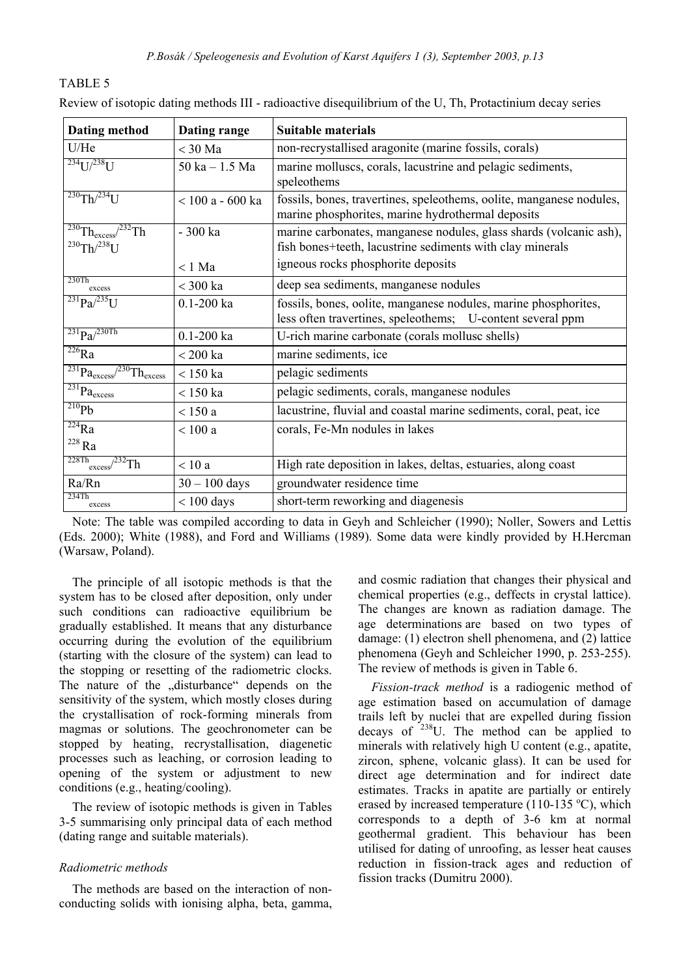| <b>Dating method</b>                                                                   | Dating range       | <b>Suitable materials</b>                                                                                                       |
|----------------------------------------------------------------------------------------|--------------------|---------------------------------------------------------------------------------------------------------------------------------|
| U/He                                                                                   | $<$ 30 Ma          | non-recrystallised aragonite (marine fossils, corals)                                                                           |
| $^{234}$ U $^{1/238}$ U                                                                | $50$ ka $-1.5$ Ma  | marine molluscs, corals, lacustrine and pelagic sediments,<br>speleothems                                                       |
| $^{230}$ Th/ $^{234}$ U                                                                | $<$ 100 a - 600 ka | fossils, bones, travertines, speleothems, oolite, manganese nodules,<br>marine phosphorites, marine hydrothermal deposits       |
| $\sqrt[230]{\text{Th}_{\text{excess}}^2}$ <sup>232</sup> Th<br>$^{230}$ Th/ $^{238}$ U | - 300 ka           | marine carbonates, manganese nodules, glass shards (volcanic ash),<br>fish bones+teeth, lacustrine sediments with clay minerals |
|                                                                                        | $< 1$ Ma           | igneous rocks phosphorite deposits                                                                                              |
| 230Th<br>excess                                                                        | $<$ 300 ka         | deep sea sediments, manganese nodules                                                                                           |
| $^{231}Pa/^{235}U$                                                                     | $0.1 - 200$ ka     | fossils, bones, oolite, manganese nodules, marine phosphorites,<br>less often travertines, speleothems; U-content several ppm   |
| $^{231}Pa/^{230Th}$                                                                    | $0.1 - 200$ ka     | U-rich marine carbonate (corals mollusc shells)                                                                                 |
| $\overline{^{226}}Ra$                                                                  | $<$ 200 ka         | marine sediments, ice                                                                                                           |
| $\overline{^{231}}Pa_{excess}$<br>$\sqrt{^{230}}$ Th <sub>excess</sub>                 | $< 150$ ka         | pelagic sediments                                                                                                               |
| $\overline{^{231}}Pa_{excess}$                                                         | $< 150$ ka         | pelagic sediments, corals, manganese nodules                                                                                    |
| $\overline{^{210}Pb}$                                                                  | $<$ 150 a          | lacustrine, fluvial and coastal marine sediments, coral, peat, ice                                                              |
| $\overline{^{224}}$ Ra                                                                 | $<$ 100 a          | corals, Fe-Mn nodules in lakes                                                                                                  |
| $^{228}\rm{Ra}$                                                                        |                    |                                                                                                                                 |
| 228Th<br>$\sqrt{232}$ Th<br>excess                                                     | $<$ 10 a           | High rate deposition in lakes, deltas, estuaries, along coast                                                                   |
| Ra/Rn                                                                                  | $30 - 100$ days    | groundwater residence time                                                                                                      |
| 234Th<br>excess                                                                        | $< 100$ days       | short-term reworking and diagenesis                                                                                             |

Review of isotopic dating methods III - radioactive disequilibrium of the U, Th, Protactinium decay series

Note: The table was compiled according to data in Geyh and Schleicher (1990); Noller, Sowers and Lettis (Eds. 2000); White (1988), and Ford and Williams (1989). Some data were kindly provided by H.Hercman (Warsaw, Poland).

The principle of all isotopic methods is that the system has to be closed after deposition, only under such conditions can radioactive equilibrium be gradually established. It means that any disturbance occurring during the evolution of the equilibrium (starting with the closure of the system) can lead to the stopping or resetting of the radiometric clocks. The nature of the "disturbance" depends on the sensitivity of the system, which mostly closes during the crystallisation of rock-forming minerals from magmas or solutions. The geochronometer can be stopped by heating, recrystallisation, diagenetic processes such as leaching, or corrosion leading to opening of the system or adjustment to new conditions (e.g., heating/cooling).

The review of isotopic methods is given in Tables 3-5 summarising only principal data of each method (dating range and suitable materials).

### *Radiometric methods*

The methods are based on the interaction of nonconducting solids with ionising alpha, beta, gamma,

and cosmic radiation that changes their physical and chemical properties (e.g., deffects in crystal lattice). The changes are known as radiation damage. The age determinations are based on two types of damage: (1) electron shell phenomena, and (2) lattice phenomena (Geyh and Schleicher 1990, p. 253-255). The review of methods is given in Table 6.

*Fission-track method* is a radiogenic method of age estimation based on accumulation of damage trails left by nuclei that are expelled during fission decays of  $238$ U. The method can be applied to minerals with relatively high U content (e.g., apatite, zircon, sphene, volcanic glass). It can be used for direct age determination and for indirect date estimates. Tracks in apatite are partially or entirely erased by increased temperature  $(110-135 \degree C)$ , which corresponds to a depth of 3-6 km at normal geothermal gradient. This behaviour has been utilised for dating of unroofing, as lesser heat causes reduction in fission-track ages and reduction of fission tracks (Dumitru 2000).

# TABLE 5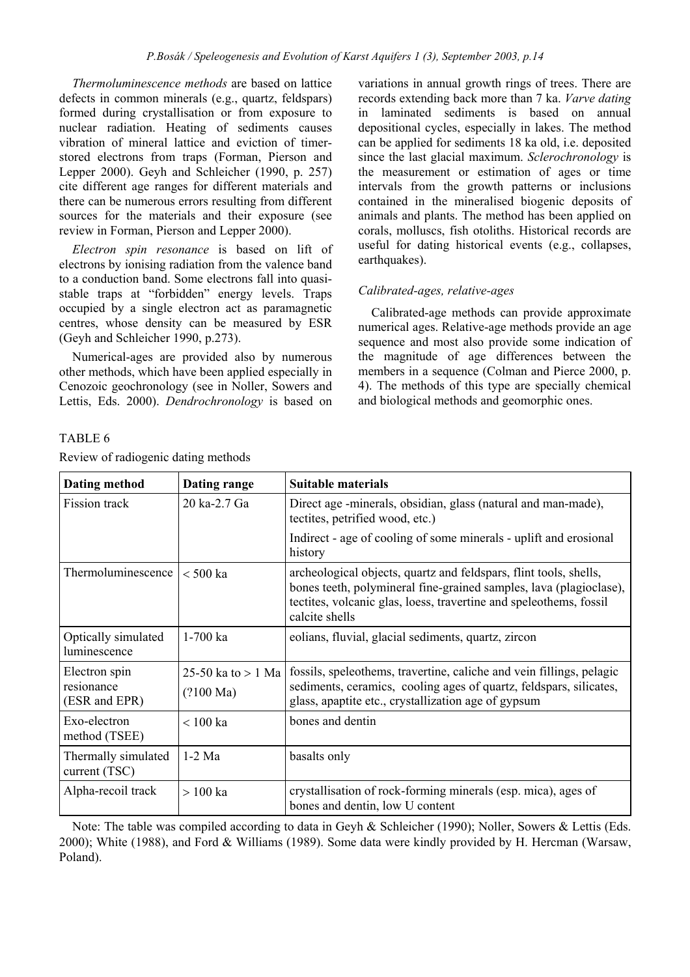*Thermoluminescence methods* are based on lattice defects in common minerals (e.g., quartz, feldspars) formed during crystallisation or from exposure to nuclear radiation. Heating of sediments causes vibration of mineral lattice and eviction of timerstored electrons from traps (Forman, Pierson and Lepper 2000). Geyh and Schleicher (1990, p. 257) cite different age ranges for different materials and there can be numerous errors resulting from different sources for the materials and their exposure (see review in Forman, Pierson and Lepper 2000).

*Electron spin resonance* is based on lift of electrons by ionising radiation from the valence band to a conduction band. Some electrons fall into quasistable traps at "forbidden" energy levels. Traps occupied by a single electron act as paramagnetic centres, whose density can be measured by ESR (Geyh and Schleicher 1990, p.273).

Numerical-ages are provided also by numerous other methods, which have been applied especially in Cenozoic geochronology (see in Noller, Sowers and Lettis, Eds. 2000). *Dendrochronology* is based on variations in annual growth rings of trees. There are records extending back more than 7 ka. *Varve dating* in laminated sediments is based on annual depositional cycles, especially in lakes. The method can be applied for sediments 18 ka old, i.e. deposited since the last glacial maximum. *Sclerochronology* is the measurement or estimation of ages or time intervals from the growth patterns or inclusions contained in the mineralised biogenic deposits of animals and plants. The method has been applied on corals, molluscs, fish otoliths. Historical records are useful for dating historical events (e.g., collapses, earthquakes).

# *Calibrated-ages, relative-ages*

Calibrated-age methods can provide approximate numerical ages. Relative-age methods provide an age sequence and most also provide some indication of the magnitude of age differences between the members in a sequence (Colman and Pierce 2000, p. 4). The methods of this type are specially chemical and biological methods and geomorphic ones.

# TABLE 6

Review of radiogenic dating methods

| Dating method                                | Dating range                                | <b>Suitable materials</b>                                                                                                                                                                                                       |
|----------------------------------------------|---------------------------------------------|---------------------------------------------------------------------------------------------------------------------------------------------------------------------------------------------------------------------------------|
| Fission track                                | 20 ka-2.7 Ga                                | Direct age -minerals, obsidian, glass (natural and man-made),<br>tectites, petrified wood, etc.)                                                                                                                                |
|                                              |                                             | Indirect - age of cooling of some minerals - uplift and erosional<br>history                                                                                                                                                    |
| Thermoluminescence                           | $< 500$ ka                                  | archeological objects, quartz and feldspars, flint tools, shells,<br>bones teeth, polymineral fine-grained samples, lava (plagioclase),<br>tectites, volcanic glas, loess, travertine and speleothems, fossil<br>calcite shells |
| Optically simulated<br>luminescence          | $1-700$ ka                                  | eolians, fluvial, glacial sediments, quartz, zircon                                                                                                                                                                             |
| Electron spin<br>resionance<br>(ESR and EPR) | 25-50 ka to $> 1$ Ma<br>$(2100 \text{ Ma})$ | fossils, speleothems, travertine, caliche and vein fillings, pelagic<br>sediments, ceramics, cooling ages of quartz, feldspars, silicates,<br>glass, apaptite etc., crystallization age of gypsum                               |
| Exo-electron<br>method (TSEE)                | $< 100$ ka                                  | bones and dentin                                                                                                                                                                                                                |
| Thermally simulated<br>current (TSC)         | $1-2$ Ma                                    | basalts only                                                                                                                                                                                                                    |
| Alpha-recoil track                           | $>100$ ka                                   | crystallisation of rock-forming minerals (esp. mica), ages of<br>bones and dentin, low U content                                                                                                                                |

Note: The table was compiled according to data in Geyh & Schleicher (1990); Noller, Sowers & Lettis (Eds. 2000); White (1988), and Ford & Williams (1989). Some data were kindly provided by H. Hercman (Warsaw, Poland).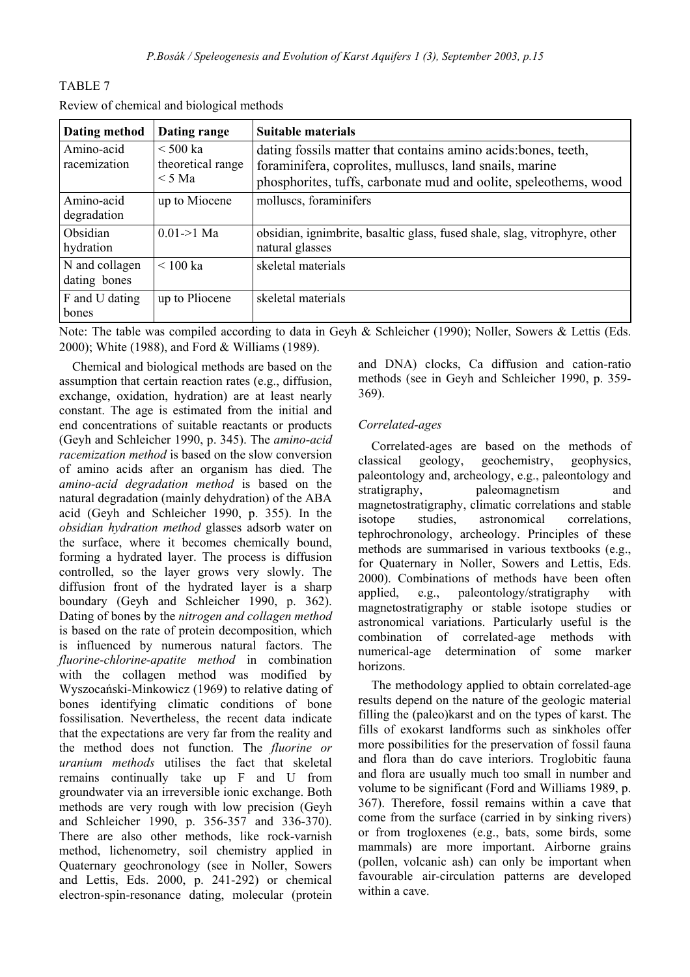| Dating method                  | Dating range                                   | <b>Suitable materials</b>                                                                                                                                                                     |
|--------------------------------|------------------------------------------------|-----------------------------------------------------------------------------------------------------------------------------------------------------------------------------------------------|
| Amino-acid<br>racemization     | $\leq 500$ ka<br>theoretical range<br>$<$ 5 Ma | dating fossils matter that contains amino acids: bones, teeth,<br>foraminifera, coprolites, mulluscs, land snails, marine<br>phosphorites, tuffs, carbonate mud and oolite, speleothems, wood |
| Amino-acid<br>degradation      | up to Miocene                                  | molluscs, foraminifers                                                                                                                                                                        |
| Obsidian<br>hydration          | $0.01 > 1$ Ma                                  | obsidian, ignimbrite, basaltic glass, fused shale, slag, vitrophyre, other<br>natural glasses                                                                                                 |
| N and collagen<br>dating bones | $< 100$ ka                                     | skeletal materials                                                                                                                                                                            |
| F and U dating<br>bones        | up to Pliocene                                 | skeletal materials                                                                                                                                                                            |

Review of chemical and biological methods

TABLE 7

Note: The table was compiled according to data in Geyh & Schleicher (1990); Noller, Sowers & Lettis (Eds. 2000); White (1988), and Ford & Williams (1989).

Chemical and biological methods are based on the assumption that certain reaction rates (e.g., diffusion, exchange, oxidation, hydration) are at least nearly constant. The age is estimated from the initial and end concentrations of suitable reactants or products (Geyh and Schleicher 1990, p. 345). The *amino-acid racemization method* is based on the slow conversion of amino acids after an organism has died. The *amino-acid degradation method* is based on the natural degradation (mainly dehydration) of the ABA acid (Geyh and Schleicher 1990, p. 355). In the *obsidian hydration method* glasses adsorb water on the surface, where it becomes chemically bound, forming a hydrated layer. The process is diffusion controlled, so the layer grows very slowly. The diffusion front of the hydrated layer is a sharp boundary (Geyh and Schleicher 1990, p. 362). Dating of bones by the *nitrogen and collagen method* is based on the rate of protein decomposition, which is influenced by numerous natural factors. The *fluorine-chlorine-apatite method* in combination with the collagen method was modified by Wyszocański-Minkowicz (1969) to relative dating of bones identifying climatic conditions of bone fossilisation. Nevertheless, the recent data indicate that the expectations are very far from the reality and the method does not function. The *fluorine or uranium methods* utilises the fact that skeletal remains continually take up F and U from groundwater via an irreversible ionic exchange. Both methods are very rough with low precision (Geyh and Schleicher 1990, p. 356-357 and 336-370). There are also other methods, like rock-varnish method, lichenometry, soil chemistry applied in Quaternary geochronology (see in Noller, Sowers and Lettis, Eds. 2000, p. 241-292) or chemical electron-spin-resonance dating, molecular (protein

and DNA) clocks, Ca diffusion and cation-ratio methods (see in Geyh and Schleicher 1990, p. 359- 369).

# *Correlated-ages*

Correlated-ages are based on the methods of classical geology, geochemistry, geophysics, paleontology and, archeology, e.g., paleontology and stratigraphy, paleomagnetism and magnetostratigraphy, climatic correlations and stable isotope studies, astronomical correlations, tephrochronology, archeology. Principles of these methods are summarised in various textbooks (e.g., for Quaternary in Noller, Sowers and Lettis, Eds. 2000). Combinations of methods have been often applied, e.g., paleontology/stratigraphy with magnetostratigraphy or stable isotope studies or astronomical variations. Particularly useful is the combination of correlated-age methods with numerical-age determination of some marker horizons.

The methodology applied to obtain correlated-age results depend on the nature of the geologic material filling the (paleo)karst and on the types of karst. The fills of exokarst landforms such as sinkholes offer more possibilities for the preservation of fossil fauna and flora than do cave interiors. Troglobitic fauna and flora are usually much too small in number and volume to be significant (Ford and Williams 1989, p. 367). Therefore, fossil remains within a cave that come from the surface (carried in by sinking rivers) or from trogloxenes (e.g., bats, some birds, some mammals) are more important. Airborne grains (pollen, volcanic ash) can only be important when favourable air-circulation patterns are developed within a cave.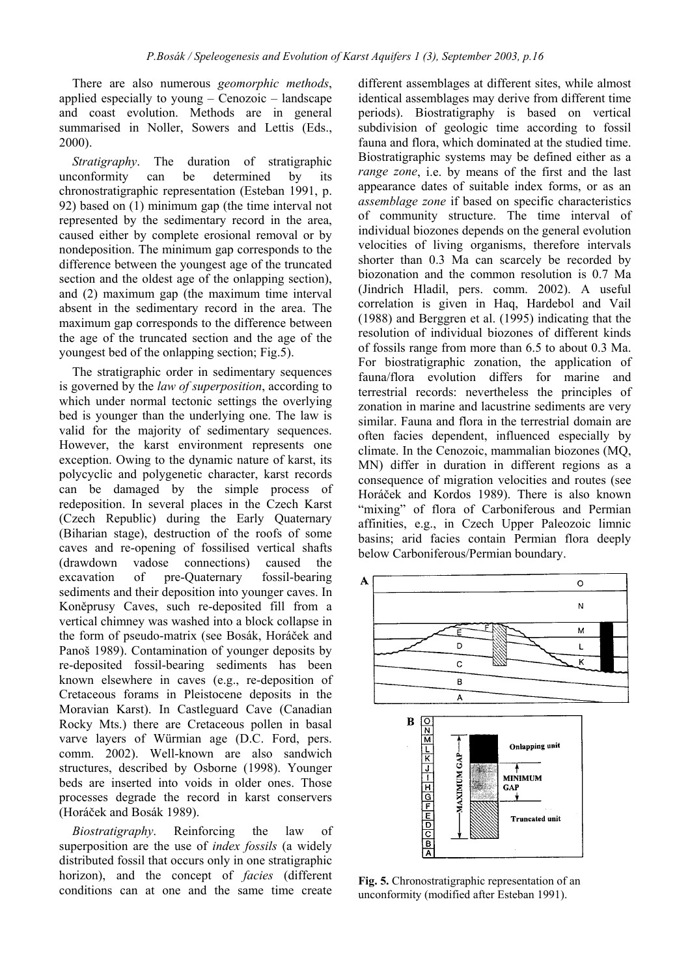There are also numerous *geomorphic methods*, applied especially to young – Cenozoic – landscape and coast evolution. Methods are in general summarised in Noller, Sowers and Lettis (Eds., 2000).

*Stratigraphy*. The duration of stratigraphic unconformity can be determined by its chronostratigraphic representation (Esteban 1991, p. 92) based on (1) minimum gap (the time interval not represented by the sedimentary record in the area, caused either by complete erosional removal or by nondeposition. The minimum gap corresponds to the difference between the youngest age of the truncated section and the oldest age of the onlapping section), and (2) maximum gap (the maximum time interval absent in the sedimentary record in the area. The maximum gap corresponds to the difference between the age of the truncated section and the age of the youngest bed of the onlapping section; Fig.5).

The stratigraphic order in sedimentary sequences is governed by the *law of superposition*, according to which under normal tectonic settings the overlying bed is younger than the underlying one. The law is valid for the majority of sedimentary sequences. However, the karst environment represents one exception. Owing to the dynamic nature of karst, its polycyclic and polygenetic character, karst records can be damaged by the simple process of redeposition. In several places in the Czech Karst (Czech Republic) during the Early Quaternary (Biharian stage), destruction of the roofs of some caves and re-opening of fossilised vertical shafts (drawdown vadose connections) caused the excavation of pre-Quaternary fossil-bearing sediments and their deposition into younger caves. In Koněprusy Caves, such re-deposited fill from a vertical chimney was washed into a block collapse in the form of pseudo-matrix (see Bosák, Horáček and Panoš 1989). Contamination of younger deposits by re-deposited fossil-bearing sediments has been known elsewhere in caves (e.g., re-deposition of Cretaceous forams in Pleistocene deposits in the Moravian Karst). In Castleguard Cave (Canadian Rocky Mts.) there are Cretaceous pollen in basal varve layers of Würmian age (D.C. Ford, pers. comm. 2002). Well-known are also sandwich structures, described by Osborne (1998). Younger beds are inserted into voids in older ones. Those processes degrade the record in karst conservers (Horáček and Bosák 1989).

*Biostratigraphy*. Reinforcing the law of superposition are the use of *index fossils* (a widely distributed fossil that occurs only in one stratigraphic horizon), and the concept of *facies* (different conditions can at one and the same time create

different assemblages at different sites, while almost identical assemblages may derive from different time periods). Biostratigraphy is based on vertical subdivision of geologic time according to fossil fauna and flora, which dominated at the studied time. Biostratigraphic systems may be defined either as a *range zone*, i.e. by means of the first and the last appearance dates of suitable index forms, or as an *assemblage zone* if based on specific characteristics of community structure. The time interval of individual biozones depends on the general evolution velocities of living organisms, therefore intervals shorter than 0.3 Ma can scarcely be recorded by biozonation and the common resolution is 0.7 Ma (Jindrich Hladil, pers. comm. 2002). A useful correlation is given in Haq, Hardebol and Vail (1988) and Berggren et al. (1995) indicating that the resolution of individual biozones of different kinds of fossils range from more than 6.5 to about 0.3 Ma. For biostratigraphic zonation, the application of fauna/flora evolution differs for marine and terrestrial records: nevertheless the principles of zonation in marine and lacustrine sediments are very similar. Fauna and flora in the terrestrial domain are often facies dependent, influenced especially by climate. In the Cenozoic, mammalian biozones (MQ, MN) differ in duration in different regions as a consequence of migration velocities and routes (see Horáček and Kordos 1989). There is also known "mixing" of flora of Carboniferous and Permian affinities, e.g., in Czech Upper Paleozoic limnic basins; arid facies contain Permian flora deeply below Carboniferous/Permian boundary.



**Fig. 5.** Chronostratigraphic representation of an unconformity (modified after Esteban 1991).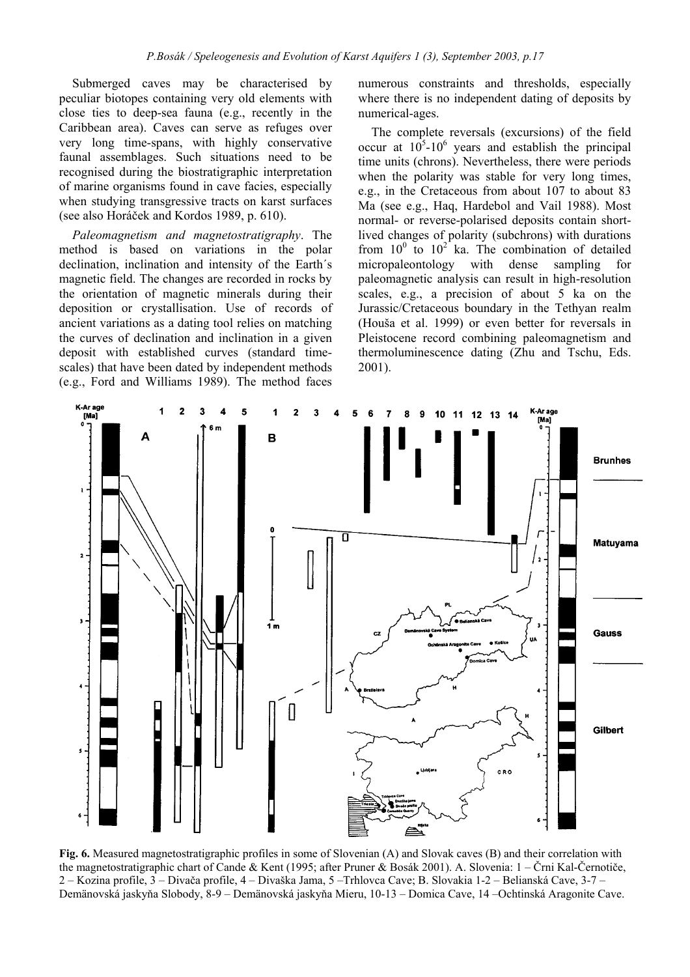Submerged caves may be characterised by peculiar biotopes containing very old elements with close ties to deep-sea fauna (e.g., recently in the Caribbean area). Caves can serve as refuges over very long time-spans, with highly conservative faunal assemblages. Such situations need to be recognised during the biostratigraphic interpretation of marine organisms found in cave facies, especially when studying transgressive tracts on karst surfaces (see also Horáček and Kordos 1989, p. 610).

*Paleomagnetism and magnetostratigraphy*. The method is based on variations in the polar declination, inclination and intensity of the Earth´s magnetic field. The changes are recorded in rocks by the orientation of magnetic minerals during their deposition or crystallisation. Use of records of ancient variations as a dating tool relies on matching the curves of declination and inclination in a given deposit with established curves (standard timescales) that have been dated by independent methods (e.g., Ford and Williams 1989). The method faces numerous constraints and thresholds, especially where there is no independent dating of deposits by numerical-ages.

The complete reversals (excursions) of the field occur at  $10^5$ -10<sup>6</sup> years and establish the principal time units (chrons). Nevertheless, there were periods when the polarity was stable for very long times, e.g., in the Cretaceous from about 107 to about 83 Ma (see e.g., Haq, Hardebol and Vail 1988). Most normal- or reverse-polarised deposits contain shortlived changes of polarity (subchrons) with durations from  $10^0$  to  $10^2$  ka. The combination of detailed micropaleontology with dense sampling for paleomagnetic analysis can result in high-resolution scales, e.g., a precision of about 5 ka on the Jurassic/Cretaceous boundary in the Tethyan realm (Houša et al. 1999) or even better for reversals in Pleistocene record combining paleomagnetism and thermoluminescence dating (Zhu and Tschu, Eds. 2001).



**Fig. 6.** Measured magnetostratigraphic profiles in some of Slovenian (A) and Slovak caves (B) and their correlation with the magnetostratigraphic chart of Cande & Kent (1995; after Pruner & Bosák 2001). A. Slovenia: 1 – Črni Kal-Černotiče, 2 – Kozina profile, 3 – Divača profile, 4 – Divaška Jama, 5 –Trhlovca Cave; B. Slovakia 1-2 – Belianská Cave, 3-7 – Demänovská jaskyňa Slobody, 8-9 – Demänovská jaskyňa Mieru, 10-13 – Domica Cave, 14 –Ochtinská Aragonite Cave.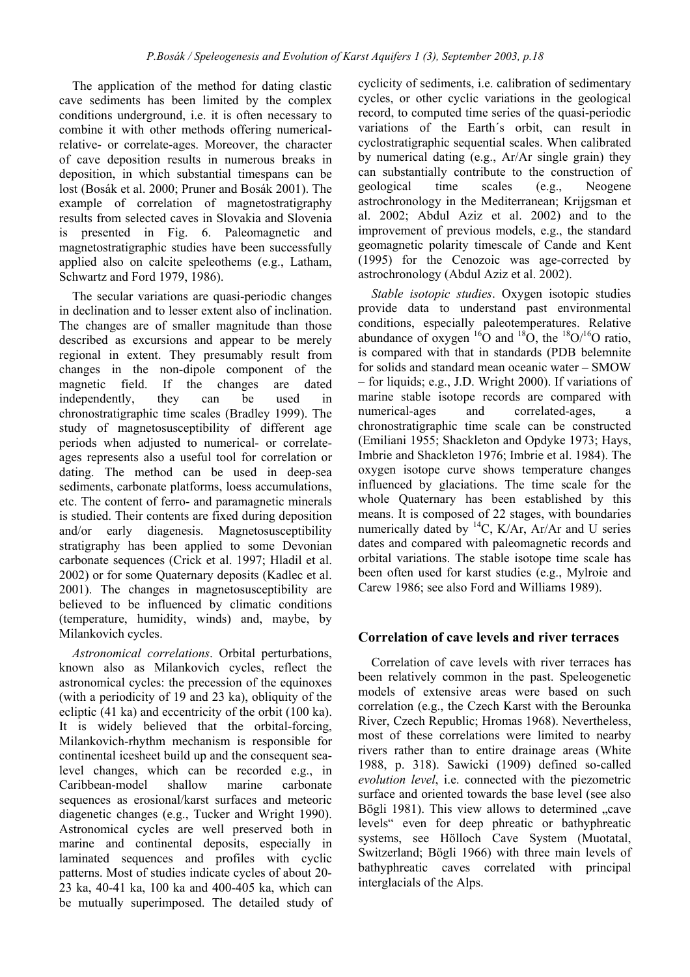The application of the method for dating clastic cave sediments has been limited by the complex conditions underground, i.e. it is often necessary to combine it with other methods offering numericalrelative- or correlate-ages. Moreover, the character of cave deposition results in numerous breaks in deposition, in which substantial timespans can be lost (Bosák et al. 2000; Pruner and Bosák 2001). The example of correlation of magnetostratigraphy results from selected caves in Slovakia and Slovenia is presented in Fig. 6. Paleomagnetic and magnetostratigraphic studies have been successfully applied also on calcite speleothems (e.g., Latham, Schwartz and Ford 1979, 1986).

The secular variations are quasi-periodic changes in declination and to lesser extent also of inclination. The changes are of smaller magnitude than those described as excursions and appear to be merely regional in extent. They presumably result from changes in the non-dipole component of the magnetic field. If the changes are dated independently, they can be used in chronostratigraphic time scales (Bradley 1999). The study of magnetosusceptibility of different age periods when adjusted to numerical- or correlateages represents also a useful tool for correlation or dating. The method can be used in deep-sea sediments, carbonate platforms, loess accumulations, etc. The content of ferro- and paramagnetic minerals is studied. Their contents are fixed during deposition and/or early diagenesis. Magnetosusceptibility stratigraphy has been applied to some Devonian carbonate sequences (Crick et al. 1997; Hladil et al. 2002) or for some Quaternary deposits (Kadlec et al. 2001). The changes in magnetosusceptibility are believed to be influenced by climatic conditions (temperature, humidity, winds) and, maybe, by Milankovich cycles.

*Astronomical correlations*. Orbital perturbations, known also as Milankovich cycles, reflect the astronomical cycles: the precession of the equinoxes (with a periodicity of 19 and 23 ka), obliquity of the ecliptic (41 ka) and eccentricity of the orbit (100 ka). It is widely believed that the orbital-forcing, Milankovich-rhythm mechanism is responsible for continental icesheet build up and the consequent sealevel changes, which can be recorded e.g., in Caribbean-model shallow marine carbonate sequences as erosional/karst surfaces and meteoric diagenetic changes (e.g., Tucker and Wright 1990). Astronomical cycles are well preserved both in marine and continental deposits, especially in laminated sequences and profiles with cyclic patterns. Most of studies indicate cycles of about 20- 23 ka, 40-41 ka, 100 ka and 400-405 ka, which can be mutually superimposed. The detailed study of cyclicity of sediments, i.e. calibration of sedimentary cycles, or other cyclic variations in the geological record, to computed time series of the quasi-periodic variations of the Earth´s orbit, can result in cyclostratigraphic sequential scales. When calibrated by numerical dating (e.g., Ar/Ar single grain) they can substantially contribute to the construction of geological time scales (e.g., Neogene astrochronology in the Mediterranean; Krijgsman et al. 2002; Abdul Aziz et al. 2002) and to the improvement of previous models, e.g., the standard geomagnetic polarity timescale of Cande and Kent (1995) for the Cenozoic was age-corrected by astrochronology (Abdul Aziz et al. 2002).

*Stable isotopic studies*. Oxygen isotopic studies provide data to understand past environmental conditions, especially paleotemperatures. Relative abundance of oxygen  $^{16}O$  and  $^{18}O$ , the  $^{18}O$ / $^{16}O$  ratio, is compared with that in standards (PDB belemnite for solids and standard mean oceanic water – SMOW – for liquids; e.g., J.D. Wright 2000). If variations of marine stable isotope records are compared with numerical-ages and correlated-ages, a chronostratigraphic time scale can be constructed (Emiliani 1955; Shackleton and Opdyke 1973; Hays, Imbrie and Shackleton 1976; Imbrie et al. 1984). The oxygen isotope curve shows temperature changes influenced by glaciations. The time scale for the whole Quaternary has been established by this means. It is composed of 22 stages, with boundaries numerically dated by  ${}^{14}C$ , K/Ar, Ar/Ar and U series dates and compared with paleomagnetic records and orbital variations. The stable isotope time scale has been often used for karst studies (e.g., Mylroie and Carew 1986; see also Ford and Williams 1989).

# **Correlation of cave levels and river terraces**

Correlation of cave levels with river terraces has been relatively common in the past. Speleogenetic models of extensive areas were based on such correlation (e.g., the Czech Karst with the Berounka River, Czech Republic; Hromas 1968). Nevertheless, most of these correlations were limited to nearby rivers rather than to entire drainage areas (White 1988, p. 318). Sawicki (1909) defined so-called *evolution level*, i.e. connected with the piezometric surface and oriented towards the base level (see also Bögli 1981). This view allows to determined "cave levels" even for deep phreatic or bathyphreatic systems, see Hölloch Cave System (Muotatal, Switzerland; Bögli 1966) with three main levels of bathyphreatic caves correlated with principal interglacials of the Alps.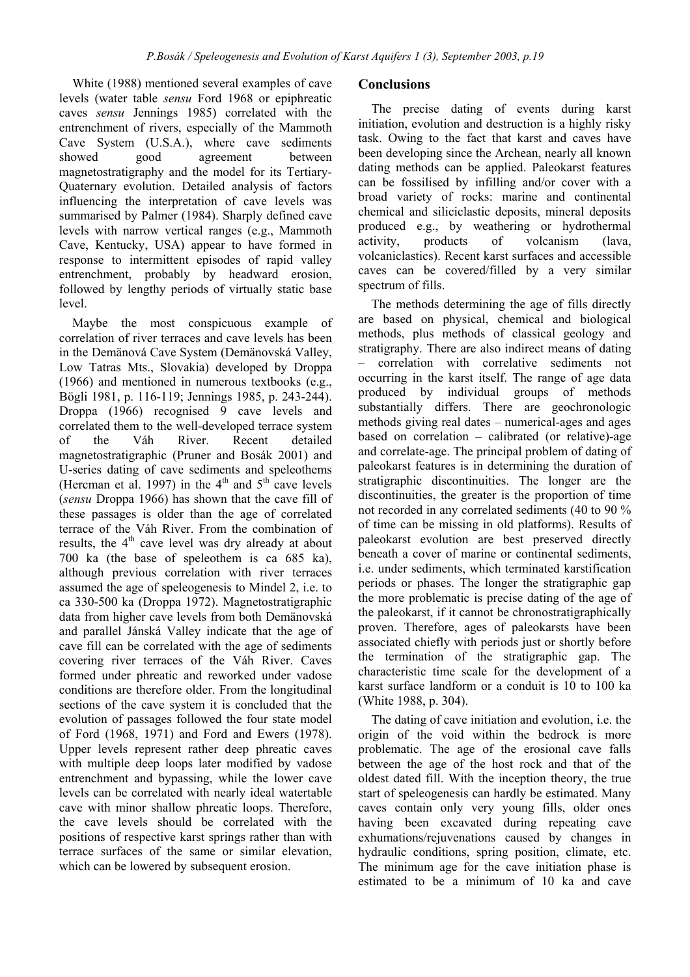White (1988) mentioned several examples of cave levels (water table *sensu* Ford 1968 or epiphreatic caves *sensu* Jennings 1985) correlated with the entrenchment of rivers, especially of the Mammoth Cave System (U.S.A.), where cave sediments showed good agreement between magnetostratigraphy and the model for its Tertiary-Quaternary evolution. Detailed analysis of factors influencing the interpretation of cave levels was summarised by Palmer (1984). Sharply defined cave levels with narrow vertical ranges (e.g., Mammoth Cave, Kentucky, USA) appear to have formed in response to intermittent episodes of rapid valley entrenchment, probably by headward erosion, followed by lengthy periods of virtually static base level.

Maybe the most conspicuous example of correlation of river terraces and cave levels has been in the Demänová Cave System (Demänovská Valley, Low Tatras Mts., Slovakia) developed by Droppa (1966) and mentioned in numerous textbooks (e.g., Bögli 1981, p. 116-119; Jennings 1985, p. 243-244). Droppa (1966) recognised 9 cave levels and correlated them to the well-developed terrace system of the Váh River. Recent detailed magnetostratigraphic (Pruner and Bosák 2001) and U-series dating of cave sediments and speleothems (Hercman et al. 1997) in the  $4<sup>th</sup>$  and  $5<sup>th</sup>$  cave levels (*sensu* Droppa 1966) has shown that the cave fill of these passages is older than the age of correlated terrace of the Váh River. From the combination of results, the  $4<sup>th</sup>$  cave level was dry already at about 700 ka (the base of speleothem is ca 685 ka), although previous correlation with river terraces assumed the age of speleogenesis to Mindel 2, i.e. to ca 330-500 ka (Droppa 1972). Magnetostratigraphic data from higher cave levels from both Demänovská and parallel Jánská Valley indicate that the age of cave fill can be correlated with the age of sediments covering river terraces of the Váh River. Caves formed under phreatic and reworked under vadose conditions are therefore older. From the longitudinal sections of the cave system it is concluded that the evolution of passages followed the four state model of Ford (1968, 1971) and Ford and Ewers (1978). Upper levels represent rather deep phreatic caves with multiple deep loops later modified by vadose entrenchment and bypassing, while the lower cave levels can be correlated with nearly ideal watertable cave with minor shallow phreatic loops. Therefore, the cave levels should be correlated with the positions of respective karst springs rather than with terrace surfaces of the same or similar elevation, which can be lowered by subsequent erosion.

### **Conclusions**

The precise dating of events during karst initiation, evolution and destruction is a highly risky task. Owing to the fact that karst and caves have been developing since the Archean, nearly all known dating methods can be applied. Paleokarst features can be fossilised by infilling and/or cover with a broad variety of rocks: marine and continental chemical and siliciclastic deposits, mineral deposits produced e.g., by weathering or hydrothermal activity, products of volcanism (lava, volcaniclastics). Recent karst surfaces and accessible caves can be covered/filled by a very similar spectrum of fills.

The methods determining the age of fills directly are based on physical, chemical and biological methods, plus methods of classical geology and stratigraphy. There are also indirect means of dating – correlation with correlative sediments not occurring in the karst itself. The range of age data produced by individual groups of methods substantially differs. There are geochronologic methods giving real dates – numerical-ages and ages based on correlation – calibrated (or relative)-age and correlate-age. The principal problem of dating of paleokarst features is in determining the duration of stratigraphic discontinuities. The longer are the discontinuities, the greater is the proportion of time not recorded in any correlated sediments (40 to 90 % of time can be missing in old platforms). Results of paleokarst evolution are best preserved directly beneath a cover of marine or continental sediments, i.e. under sediments, which terminated karstification periods or phases. The longer the stratigraphic gap the more problematic is precise dating of the age of the paleokarst, if it cannot be chronostratigraphically proven. Therefore, ages of paleokarsts have been associated chiefly with periods just or shortly before the termination of the stratigraphic gap. The characteristic time scale for the development of a karst surface landform or a conduit is 10 to 100 ka (White 1988, p. 304).

The dating of cave initiation and evolution, i.e. the origin of the void within the bedrock is more problematic. The age of the erosional cave falls between the age of the host rock and that of the oldest dated fill. With the inception theory, the true start of speleogenesis can hardly be estimated. Many caves contain only very young fills, older ones having been excavated during repeating cave exhumations/rejuvenations caused by changes in hydraulic conditions, spring position, climate, etc. The minimum age for the cave initiation phase is estimated to be a minimum of 10 ka and cave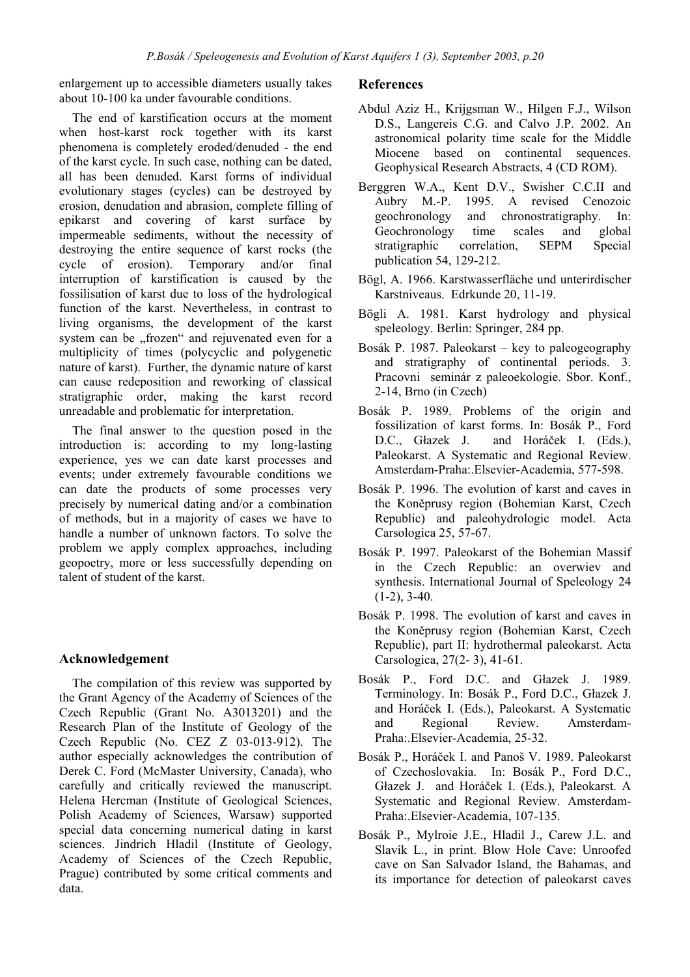enlargement up to accessible diameters usually takes about 10-100 ka under favourable conditions.

The end of karstification occurs at the moment when host-karst rock together with its karst phenomena is completely eroded/denuded - the end of the karst cycle. In such case, nothing can be dated, all has been denuded. Karst forms of individual evolutionary stages (cycles) can be destroyed by erosion, denudation and abrasion, complete filling of epikarst and covering of karst surface by impermeable sediments, without the necessity of destroying the entire sequence of karst rocks (the cycle of erosion). Temporary and/or final interruption of karstification is caused by the fossilisation of karst due to loss of the hydrological function of the karst. Nevertheless, in contrast to living organisms, the development of the karst system can be "frozen" and rejuvenated even for a multiplicity of times (polycyclic and polygenetic nature of karst). Further, the dynamic nature of karst can cause redeposition and reworking of classical stratigraphic order, making the karst record unreadable and problematic for interpretation.

The final answer to the question posed in the introduction is: according to my long-lasting experience, yes we can date karst processes and events; under extremely favourable conditions we can date the products of some processes very precisely by numerical dating and/or a combination of methods, but in a majority of cases we have to handle a number of unknown factors. To solve the problem we apply complex approaches, including geopoetry, more or less successfully depending on talent of student of the karst.

# **Acknowledgement**

The compilation of this review was supported by the Grant Agency of the Academy of Sciences of the Czech Republic (Grant No. A3013201) and the Research Plan of the Institute of Geology of the Czech Republic (No. CEZ Z 03-013-912). The author especially acknowledges the contribution of Derek C. Ford (McMaster University, Canada), who carefully and critically reviewed the manuscript. Helena Hercman (Institute of Geological Sciences, Polish Academy of Sciences, Warsaw) supported special data concerning numerical dating in karst sciences. Jindrich Hladil (Institute of Geology, Academy of Sciences of the Czech Republic, Prague) contributed by some critical comments and data.

### **References**

- Abdul Aziz H., Krijgsman W., Hilgen F.J., Wilson D.S., Langereis C.G. and Calvo J.P. 2002. An astronomical polarity time scale for the Middle Miocene based on continental sequences. Geophysical Research Abstracts, 4 (CD ROM).
- Berggren W.A., Kent D.V., Swisher C.C.II and Aubry M.-P. 1995. A revised Cenozoic geochronology and chronostratigraphy. In: Geochronology time scales and global stratigraphic correlation, SEPM Special publication 54, 129-212.
- Bögl, A. 1966. Karstwasserfläche und unterirdischer Karstniveaus. Edrkunde 20, 11-19.
- Bögli A. 1981. Karst hydrology and physical speleology. Berlin: Springer, 284 pp.
- Bosák P. 1987. Paleokarst key to paleogeography and stratigraphy of continental periods. 3. Pracovni seminár z paleoekologie. Sbor. Konf., 2-14, Brno (in Czech)
- Bosák P. 1989. Problems of the origin and fossilization of karst forms. In: Bosák P., Ford D.C., Głazek J. and Horáček I. (Eds.), Paleokarst. A Systematic and Regional Review. Amsterdam-Praha:.Elsevier-Academia, 577-598.
- Bosák P. 1996. The evolution of karst and caves in the Koněprusy region (Bohemian Karst, Czech Republic) and paleohydrologic model. Acta Carsologica 25, 57-67.
- Bosák P. 1997. Paleokarst of the Bohemian Massif in the Czech Republic: an overwiev and synthesis. International Journal of Speleology 24  $(1-2)$ ,  $3-40$ .
- Bosák P. 1998. The evolution of karst and caves in the Koněprusy region (Bohemian Karst, Czech Republic), part II: hydrothermal paleokarst. Acta Carsologica, 27(2- 3), 41-61.
- Bosák P., Ford D.C. and Głazek J. 1989. Terminology. In: Bosák P., Ford D.C., Głazek J. and Horáček I. (Eds.), Paleokarst. A Systematic and Regional Review. Amsterdam-Praha:.Elsevier-Academia, 25-32.
- Bosák P., Horáček I. and Panoš V. 1989. Paleokarst of Czechoslovakia. In: Bosák P., Ford D.C., Głazek J. and Horáček I. (Eds.), Paleokarst. A Systematic and Regional Review. Amsterdam-Praha:.Elsevier-Academia, 107-135.
- Bosák P., Mylroie J.E., Hladil J., Carew J.L. and Slavík L., in print. Blow Hole Cave: Unroofed cave on San Salvador Island, the Bahamas, and its importance for detection of paleokarst caves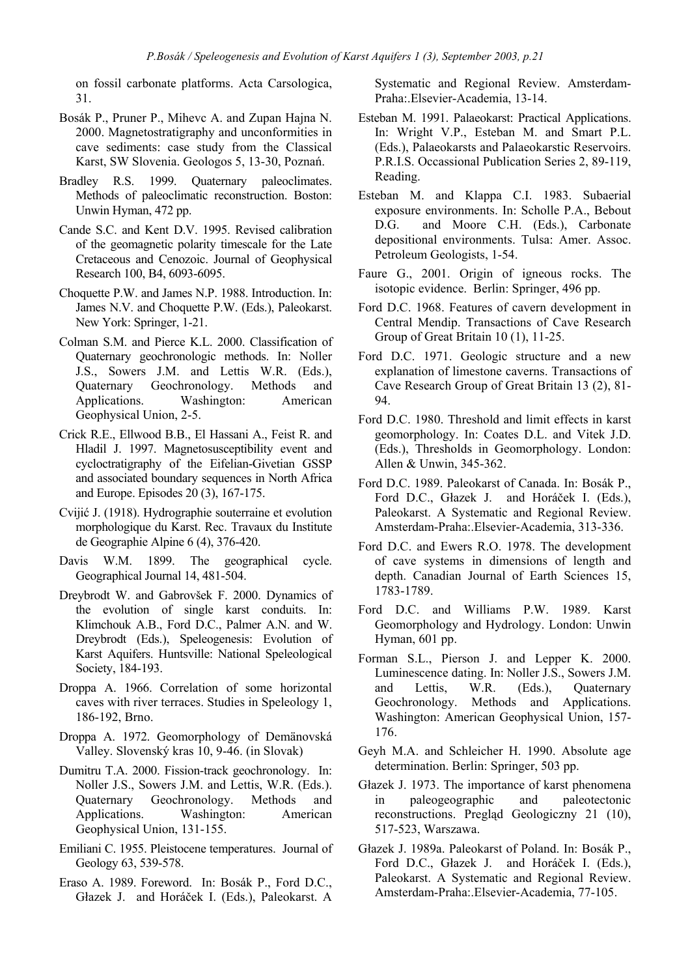on fossil carbonate platforms. Acta Carsologica, 31.

- Bosák P., Pruner P., Mihevc A. and Zupan Hajna N. 2000. Magnetostratigraphy and unconformities in cave sediments: case study from the Classical Karst, SW Slovenia. Geologos 5, 13-30, Poznań.
- Bradley R.S. 1999. Quaternary paleoclimates. Methods of paleoclimatic reconstruction. Boston: Unwin Hyman, 472 pp.
- Cande S.C. and Kent D.V. 1995. Revised calibration of the geomagnetic polarity timescale for the Late Cretaceous and Cenozoic. Journal of Geophysical Research 100, B4, 6093-6095.
- Choquette P.W. and James N.P. 1988. Introduction. In: James N.V. and Choquette P.W. (Eds.), Paleokarst. New York: Springer, 1-21.
- Colman S.M. and Pierce K.L. 2000. Classification of Quaternary geochronologic methods. In: Noller J.S., Sowers J.M. and Lettis W.R. (Eds.), Quaternary Geochronology. Methods and Applications. Washington: American Geophysical Union, 2-5.
- Crick R.E., Ellwood B.B., El Hassani A., Feist R. and Hladil J. 1997. Magnetosusceptibility event and cycloctratigraphy of the Eifelian-Givetian GSSP and associated boundary sequences in North Africa and Europe. Episodes 20 (3), 167-175.
- Cvijić J. (1918). Hydrographie souterraine et evolution morphologique du Karst. Rec. Travaux du Institute de Geographie Alpine 6 (4), 376-420.
- Davis W.M. 1899. The geographical cycle. Geographical Journal 14, 481-504.
- Dreybrodt W. and Gabrovšek F. 2000. Dynamics of the evolution of single karst conduits. In: Klimchouk A.B., Ford D.C., Palmer A.N. and W. Dreybrodt (Eds.), Speleogenesis: Evolution of Karst Aquifers. Huntsville: National Speleological Society, 184-193.
- Droppa A. 1966. Correlation of some horizontal caves with river terraces. Studies in Speleology 1, 186-192, Brno.
- Droppa A. 1972. Geomorphology of Demänovská Valley. Slovenský kras 10, 9-46. (in Slovak)
- Dumitru T.A. 2000. Fission-track geochronology. In: Noller J.S., Sowers J.M. and Lettis, W.R. (Eds.). Quaternary Geochronology. Methods and Applications. Washington: American Geophysical Union, 131-155.
- Emiliani C. 1955. Pleistocene temperatures. Journal of Geology 63, 539-578.
- Eraso A. 1989. Foreword. In: Bosák P., Ford D.C., Głazek J. and Horáček I. (Eds.), Paleokarst. A

Systematic and Regional Review. Amsterdam-Praha:.Elsevier-Academia, 13-14.

- Esteban M. 1991. Palaeokarst: Practical Applications. In: Wright V.P., Esteban M. and Smart P.L. (Eds.), Palaeokarsts and Palaeokarstic Reservoirs. P.R.I.S. Occassional Publication Series 2, 89-119, Reading.
- Esteban M. and Klappa C.I. 1983. Subaerial exposure environments. In: Scholle P.A., Bebout D.G. and Moore C.H. (Eds.), Carbonate depositional environments. Tulsa: Amer. Assoc. Petroleum Geologists, 1-54.
- Faure G., 2001. Origin of igneous rocks. The isotopic evidence. Berlin: Springer, 496 pp.
- Ford D.C. 1968. Features of cavern development in Central Mendip. Transactions of Cave Research Group of Great Britain 10 (1), 11-25.
- Ford D.C. 1971. Geologic structure and a new explanation of limestone caverns. Transactions of Cave Research Group of Great Britain 13 (2), 81- 94.
- Ford D.C. 1980. Threshold and limit effects in karst geomorphology. In: Coates D.L. and Vitek J.D. (Eds.), Thresholds in Geomorphology. London: Allen & Unwin, 345-362.
- Ford D.C. 1989. Paleokarst of Canada. In: Bosák P., Ford D.C., Głazek J. and Horáček I. (Eds.), Paleokarst. A Systematic and Regional Review. Amsterdam-Praha:.Elsevier-Academia, 313-336.
- Ford D.C. and Ewers R.O. 1978. The development of cave systems in dimensions of length and depth. Canadian Journal of Earth Sciences 15, 1783-1789.
- Ford D.C. and Williams P.W. 1989. Karst Geomorphology and Hydrology. London: Unwin Hyman, 601 pp.
- Forman S.L., Pierson J. and Lepper K. 2000. Luminescence dating. In: Noller J.S., Sowers J.M. and Lettis, W.R. (Eds.), Quaternary Geochronology. Methods and Applications. Washington: American Geophysical Union, 157- 176.
- Geyh M.A. and Schleicher H. 1990. Absolute age determination. Berlin: Springer, 503 pp.
- Głazek J. 1973. The importance of karst phenomena in paleogeographic and paleotectonic reconstructions. Pregląd Geologiczny 21 (10), 517-523, Warszawa.
- Głazek J. 1989a. Paleokarst of Poland. In: Bosák P., Ford D.C., Głazek J. and Horáček I. (Eds.), Paleokarst. A Systematic and Regional Review. Amsterdam-Praha:.Elsevier-Academia, 77-105.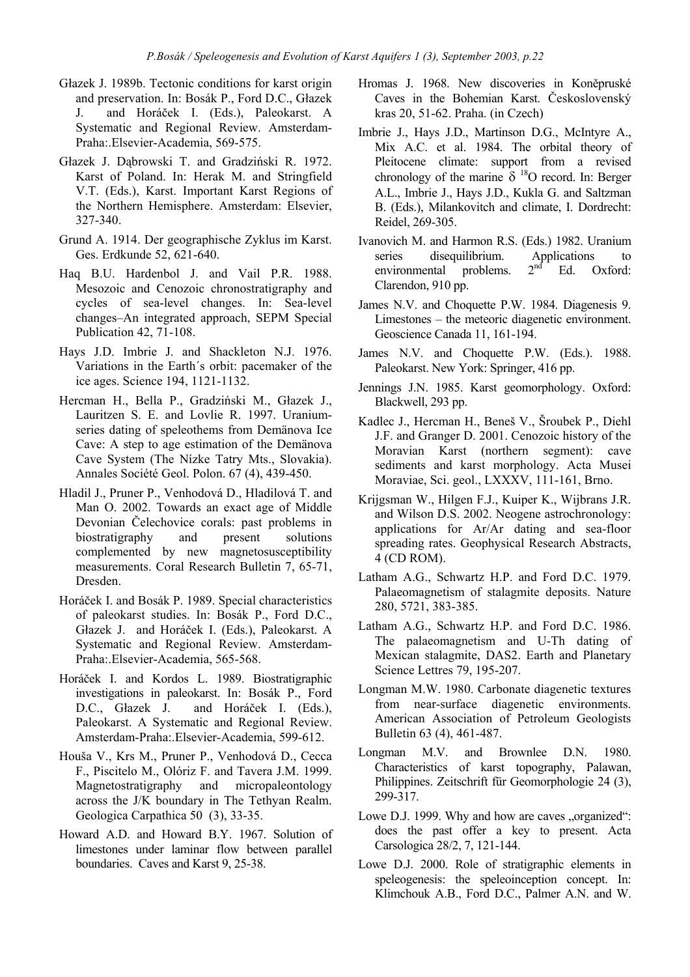- Głazek J. 1989b. Tectonic conditions for karst origin and preservation. In: Bosák P., Ford D.C., Głazek J. and Horáček I. (Eds.), Paleokarst. A Systematic and Regional Review. Amsterdam-Praha:.Elsevier-Academia, 569-575.
- Głazek J. Dąbrowski T. and Gradziński R. 1972. Karst of Poland. In: Herak M. and Stringfield V.T. (Eds.), Karst. Important Karst Regions of the Northern Hemisphere. Amsterdam: Elsevier, 327-340.
- Grund A. 1914. Der geographische Zyklus im Karst. Ges. Erdkunde 52, 621-640.
- Haq B.U. Hardenbol J. and Vail P.R. 1988. Mesozoic and Cenozoic chronostratigraphy and cycles of sea-level changes. In: Sea-level changes–An integrated approach, SEPM Special Publication 42, 71-108.
- Hays J.D. Imbrie J. and Shackleton N.J. 1976. Variations in the Earth´s orbit: pacemaker of the ice ages. Science 194, 1121-1132.
- Hercman H., Bella P., Gradziński M., Głazek J., Lauritzen S. E. and Lovlie R. 1997. Uraniumseries dating of speleothems from Demänova Ice Cave: A step to age estimation of the Demänova Cave System (The Nízke Tatry Mts., Slovakia). Annales Société Geol. Polon. 67 (4), 439-450.
- Hladil J., Pruner P., Venhodová D., Hladilová T. and Man O. 2002. Towards an exact age of Middle Devonian Čelechovice corals: past problems in biostratigraphy and present solutions complemented by new magnetosusceptibility measurements. Coral Research Bulletin 7, 65-71, Dresden.
- Horáček I. and Bosák P. 1989. Special characteristics of paleokarst studies. In: Bosák P., Ford D.C., Głazek J. and Horáček I. (Eds.), Paleokarst. A Systematic and Regional Review. Amsterdam-Praha:.Elsevier-Academia, 565-568.
- Horáček I. and Kordos L. 1989. Biostratigraphic investigations in paleokarst. In: Bosák P., Ford D.C., Głazek J. and Horáček I. (Eds.), Paleokarst. A Systematic and Regional Review. Amsterdam-Praha:.Elsevier-Academia, 599-612.
- Houša V., Krs M., Pruner P., Venhodová D., Cecca F., Piscitelo M., Olóriz F. and Tavera J.M. 1999. Magnetostratigraphy and micropaleontology across the J/K boundary in The Tethyan Realm. Geologica Carpathica 50 (3), 33-35.
- Howard A.D. and Howard B.Y. 1967. Solution of limestones under laminar flow between parallel boundaries. Caves and Karst 9, 25-38.
- Hromas J. 1968. New discoveries in Koněpruské Caves in the Bohemian Karst. Československý kras 20, 51-62. Praha. (in Czech)
- Imbrie J., Hays J.D., Martinson D.G., McIntyre A., Mix A.C. et al. 1984. The orbital theory of Pleitocene climate: support from a revised chronology of the marine  $\delta$  <sup>18</sup>O record. In: Berger A.L., Imbrie J., Hays J.D., Kukla G. and Saltzman B. (Eds.), Milankovitch and climate, I. Dordrecht: Reidel, 269-305.
- Ivanovich M. and Harmon R.S. (Eds.) 1982. Uranium series disequilibrium. Applications to<br>environmental problems.  $2<sup>nd</sup>$  Ed. Oxford: environmental problems.  $2<sup>nd</sup>$  Ed. Oxford: Clarendon, 910 pp.
- James N.V. and Choquette P.W. 1984. Diagenesis 9. Limestones – the meteoric diagenetic environment. Geoscience Canada 11, 161-194.
- James N.V. and Choquette P.W. (Eds.). 1988. Paleokarst. New York: Springer, 416 pp.
- Jennings J.N. 1985. Karst geomorphology. Oxford: Blackwell, 293 pp.
- Kadlec J., Hercman H., Beneš V., Šroubek P., Diehl J.F. and Granger D. 2001. Cenozoic history of the Moravian Karst (northern segment): cave sediments and karst morphology. Acta Musei Moraviae, Sci. geol., LXXXV, 111-161, Brno.
- Krijgsman W., Hilgen F.J., Kuiper K., Wijbrans J.R. and Wilson D.S. 2002. Neogene astrochronology: applications for Ar/Ar dating and sea-floor spreading rates. Geophysical Research Abstracts, 4 (CD ROM).
- Latham A.G., Schwartz H.P. and Ford D.C. 1979. Palaeomagnetism of stalagmite deposits. Nature 280, 5721, 383-385.
- Latham A.G., Schwartz H.P. and Ford D.C. 1986. The palaeomagnetism and U-Th dating of Mexican stalagmite, DAS2. Earth and Planetary Science Lettres 79, 195-207.
- Longman M.W. 1980. Carbonate diagenetic textures from near-surface diagenetic environments. American Association of Petroleum Geologists Bulletin 63 (4), 461-487.
- Longman M.V. and Brownlee D.N. 1980. Characteristics of karst topography, Palawan, Philippines. Zeitschrift für Geomorphologie 24 (3), 299-317.
- Lowe D.J. 1999. Why and how are caves "organized": does the past offer a key to present. Acta Carsologica 28/2, 7, 121-144.
- Lowe D.J. 2000. Role of stratigraphic elements in speleogenesis: the speleoinception concept. In: Klimchouk A.B., Ford D.C., Palmer A.N. and W.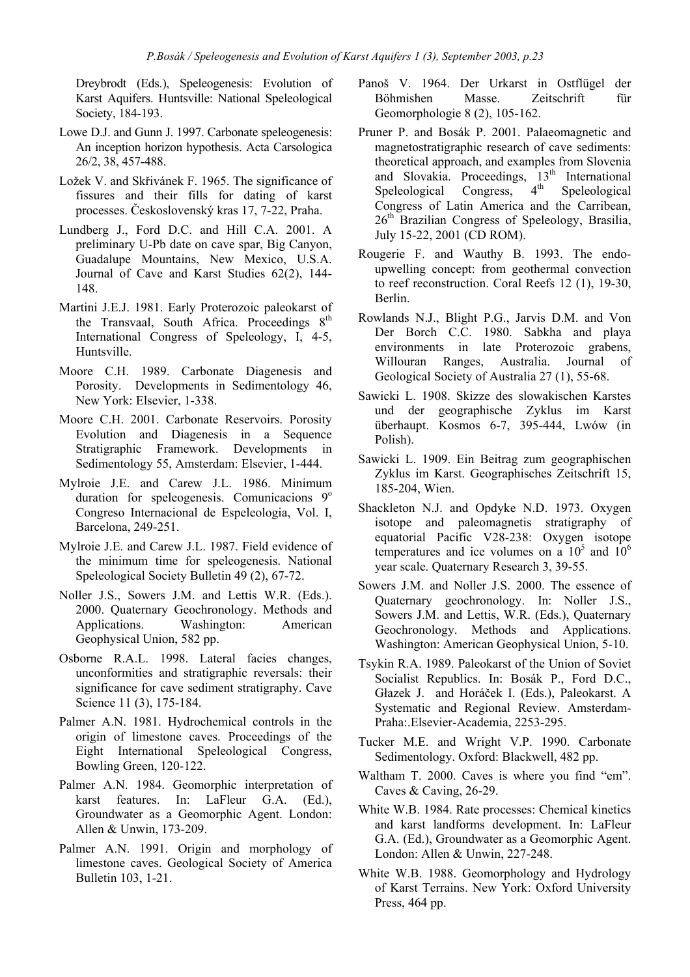Dreybrodt (Eds.), Speleogenesis: Evolution of Karst Aquifers. Huntsville: National Speleological Society, 184-193.

- Lowe D.J. and Gunn J. 1997. Carbonate speleogenesis: An inception horizon hypothesis. Acta Carsologica 26/2, 38, 457-488.
- Ložek V. and Skřivánek F. 1965. The significance of fissures and their fills for dating of karst processes. Československý kras 17, 7-22, Praha.
- Lundberg J., Ford D.C. and Hill C.A. 2001. A preliminary U-Pb date on cave spar, Big Canyon, Guadalupe Mountains, New Mexico, U.S.A. Journal of Cave and Karst Studies 62(2), 144- 148.
- Martini J.E.J. 1981. Early Proterozoic paleokarst of the Transvaal, South Africa. Proceedings  $8<sup>th</sup>$ International Congress of Speleology, I, 4-5, Huntsville.
- Moore C.H. 1989. Carbonate Diagenesis and Porosity. Developments in Sedimentology 46, New York: Elsevier, 1-338.
- Moore C.H. 2001. Carbonate Reservoirs. Porosity Evolution and Diagenesis in a Sequence Stratigraphic Framework. Developments in Sedimentology 55, Amsterdam: Elsevier, 1-444.
- Mylroie J.E. and Carew J.L. 1986. Minimum duration for speleogenesis. Comunicacions  $9^\circ$ Congreso Internacional de Espeleologia, Vol. I, Barcelona, 249-251.
- Mylroie J.E. and Carew J.L. 1987. Field evidence of the minimum time for speleogenesis. National Speleological Society Bulletin 49 (2), 67-72.
- Noller J.S., Sowers J.M. and Lettis W.R. (Eds.). 2000. Quaternary Geochronology. Methods and Applications. Washington: American Geophysical Union, 582 pp.
- Osborne R.A.L. 1998. Lateral facies changes, unconformities and stratigraphic reversals: their significance for cave sediment stratigraphy. Cave Science 11 (3), 175-184.
- Palmer A.N. 1981. Hydrochemical controls in the origin of limestone caves. Proceedings of the Eight International Speleological Congress, Bowling Green, 120-122.
- Palmer A.N. 1984. Geomorphic interpretation of karst features. In: LaFleur G.A. (Ed.), Groundwater as a Geomorphic Agent. London: Allen & Unwin, 173-209.
- Palmer A.N. 1991. Origin and morphology of limestone caves. Geological Society of America Bulletin 103, 1-21.
- Panoš V. 1964. Der Urkarst in Ostflügel der Böhmishen Masse. Zeitschrift für Geomorphologie 8 (2), 105-162.
- Pruner P. and Bosák P. 2001. Palaeomagnetic and magnetostratigraphic research of cave sediments: theoretical approach, and examples from Slovenia and Slovakia. Proceedings,  $13<sup>th</sup>$  International Speleological Congress  $4<sup>th</sup>$  Speleological Speleological Congress,  $4<sup>th</sup>$  Speleological Congress of Latin America and the Carribean, 26<sup>th</sup> Brazilian Congress of Speleology, Brasilia, July 15-22, 2001 (CD ROM).
- Rougerie F. and Wauthy B. 1993. The endoupwelling concept: from geothermal convection to reef reconstruction. Coral Reefs 12 (1), 19-30, Berlin.
- Rowlands N.J., Blight P.G., Jarvis D.M. and Von Der Borch C.C. 1980. Sabkha and playa environments in late Proterozoic grabens, Willouran Ranges, Australia. Journal of Geological Society of Australia 27 (1), 55-68.
- Sawicki L. 1908. Skizze des slowakischen Karstes und der geographische Zyklus im Karst überhaupt. Kosmos 6-7, 395-444, Lwów (in Polish).
- Sawicki L. 1909. Ein Beitrag zum geographischen Zyklus im Karst. Geographisches Zeitschrift 15, 185-204, Wien.
- Shackleton N.J. and Opdyke N.D. 1973. Oxygen isotope and paleomagnetis stratigraphy of equatorial Pacific V28-238: Oxygen isotope temperatures and ice volumes on a  $10^5$  and  $10^6$ year scale. Quaternary Research 3, 39-55.
- Sowers J.M. and Noller J.S. 2000. The essence of Quaternary geochronology. In: Noller J.S., Sowers J.M. and Lettis, W.R. (Eds.), Quaternary Geochronology. Methods and Applications. Washington: American Geophysical Union, 5-10.
- Tsykin R.A. 1989. Paleokarst of the Union of Soviet Socialist Republics. In: Bosák P., Ford D.C., Głazek J. and Horáček I. (Eds.), Paleokarst. A Systematic and Regional Review. Amsterdam-Praha:.Elsevier-Academia, 2253-295.
- Tucker M.E. and Wright V.P. 1990. Carbonate Sedimentology. Oxford: Blackwell, 482 pp.
- Waltham T. 2000. Caves is where you find "em". Caves & Caving, 26-29.
- White W.B. 1984. Rate processes: Chemical kinetics and karst landforms development. In: LaFleur G.A. (Ed.), Groundwater as a Geomorphic Agent. London: Allen & Unwin, 227-248.
- White W.B. 1988. Geomorphology and Hydrology of Karst Terrains. New York: Oxford University Press, 464 pp.